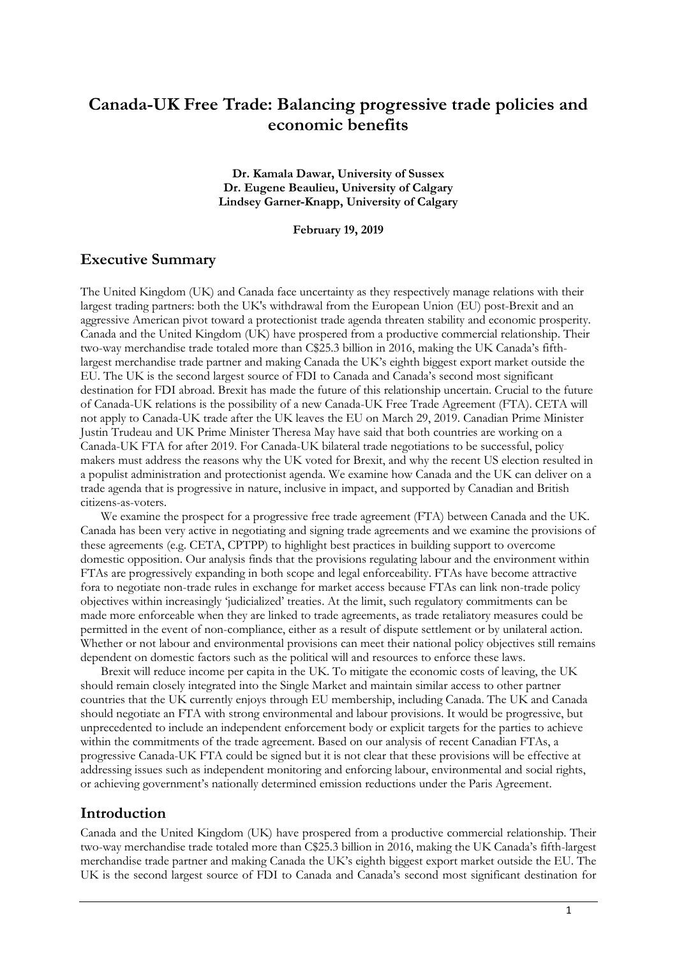# **Canada-UK Free Trade: Balancing progressive trade policies and economic benefits**

**Dr. Kamala Dawar, University of Sussex Dr. Eugene Beaulieu, University of Calgary Lindsey Garner-Knapp, University of Calgary**

**February 19, 2019**

## **Executive Summary**

The United Kingdom (UK) and Canada face uncertainty as they respectively manage relations with their largest trading partners: both the UK's withdrawal from the European Union (EU) post-Brexit and an aggressive American pivot toward a protectionist trade agenda threaten stability and economic prosperity. Canada and the United Kingdom (UK) have prospered from a productive commercial relationship. Their two-way merchandise trade totaled more than C\$25.3 billion in 2016, making the UK Canada's fifthlargest merchandise trade partner and making Canada the UK's eighth biggest export market outside the EU. The UK is the second largest source of FDI to Canada and Canada's second most significant destination for FDI abroad. Brexit has made the future of this relationship uncertain. Crucial to the future of Canada-UK relations is the possibility of a new Canada-UK Free Trade Agreement (FTA). CETA will not apply to Canada-UK trade after the UK leaves the EU on March 29, 2019. Canadian Prime Minister Justin Trudeau and UK Prime Minister Theresa May have said that both countries are working on a Canada-UK FTA for after 2019. For Canada-UK bilateral trade negotiations to be successful, policy makers must address the reasons why the UK voted for Brexit, and why the recent US election resulted in a populist administration and protectionist agenda. We examine how Canada and the UK can deliver on a trade agenda that is progressive in nature, inclusive in impact, and supported by Canadian and British citizens-as-voters.

We examine the prospect for a progressive free trade agreement (FTA) between Canada and the UK. Canada has been very active in negotiating and signing trade agreements and we examine the provisions of these agreements (e.g. CETA, CPTPP) to highlight best practices in building support to overcome domestic opposition. Our analysis finds that the provisions regulating labour and the environment within FTAs are progressively expanding in both scope and legal enforceability. FTAs have become attractive fora to negotiate non-trade rules in exchange for market access because FTAs can link non-trade policy objectives within increasingly 'judicialized' treaties. At the limit, such regulatory commitments can be made more enforceable when they are linked to trade agreements, as trade retaliatory measures could be permitted in the event of non-compliance, either as a result of dispute settlement or by unilateral action. Whether or not labour and environmental provisions can meet their national policy objectives still remains dependent on domestic factors such as the political will and resources to enforce these laws.

Brexit will reduce income per capita in the UK. To mitigate the economic costs of leaving, the UK should remain closely integrated into the Single Market and maintain similar access to other partner countries that the UK currently enjoys through EU membership, including Canada. The UK and Canada should negotiate an FTA with strong environmental and labour provisions. It would be progressive, but unprecedented to include an independent enforcement body or explicit targets for the parties to achieve within the commitments of the trade agreement. Based on our analysis of recent Canadian FTAs, a progressive Canada-UK FTA could be signed but it is not clear that these provisions will be effective at addressing issues such as independent monitoring and enforcing labour, environmental and social rights, or achieving government's nationally determined emission reductions under the Paris Agreement.

## **Introduction**

Canada and the United Kingdom (UK) have prospered from a productive commercial relationship. Their two-way merchandise trade totaled more than C\$25.3 billion in 2016, making the UK Canada's fifth-largest merchandise trade partner and making Canada the UK's eighth biggest export market outside the EU. The UK is the second largest source of FDI to Canada and Canada's second most significant destination for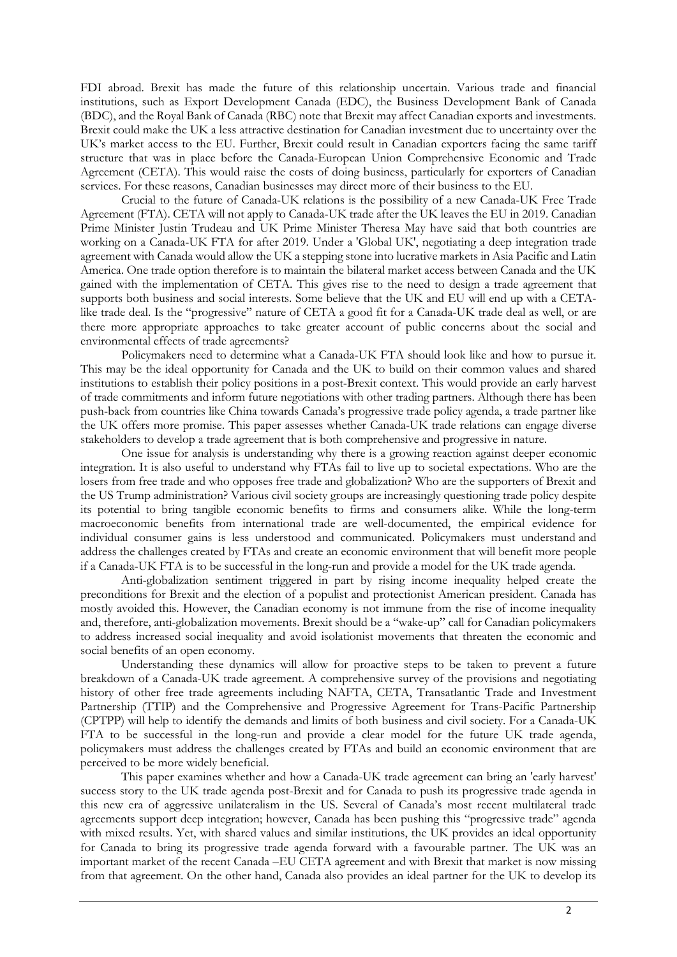FDI abroad. Brexit has made the future of this relationship uncertain. Various trade and financial institutions, such as Export Development Canada (EDC), the Business Development Bank of Canada (BDC), and the Royal Bank of Canada (RBC) note that Brexit may affect Canadian exports and investments. Brexit could make the UK a less attractive destination for Canadian investment due to uncertainty over the UK's market access to the EU. Further, Brexit could result in Canadian exporters facing the same tariff structure that was in place before the Canada-European Union Comprehensive Economic and Trade Agreement (CETA). This would raise the costs of doing business, particularly for exporters of Canadian services. For these reasons, Canadian businesses may direct more of their business to the EU.

Crucial to the future of Canada-UK relations is the possibility of a new Canada-UK Free Trade Agreement (FTA). CETA will not apply to Canada-UK trade after the UK leaves the EU in 2019. Canadian Prime Minister Justin Trudeau and UK Prime Minister Theresa May have said that both countries are working on a Canada-UK FTA for after 2019. Under a 'Global UK', negotiating a deep integration trade agreement with Canada would allow the UK a stepping stone into lucrative markets in Asia Pacific and Latin America. One trade option therefore is to maintain the bilateral market access between Canada and the UK gained with the implementation of CETA. This gives rise to the need to design a trade agreement that supports both business and social interests. Some believe that the UK and EU will end up with a CETAlike trade deal. Is the "progressive" nature of CETA a good fit for a Canada-UK trade deal as well, or are there more appropriate approaches to take greater account of public concerns about the social and environmental effects of trade agreements?

Policymakers need to determine what a Canada-UK FTA should look like and how to pursue it. This may be the ideal opportunity for Canada and the UK to build on their common values and shared institutions to establish their policy positions in a post-Brexit context. This would provide an early harvest of trade commitments and inform future negotiations with other trading partners. Although there has been push-back from countries like China towards Canada's progressive trade policy agenda, a trade partner like the UK offers more promise. This paper assesses whether Canada-UK trade relations can engage diverse stakeholders to develop a trade agreement that is both comprehensive and progressive in nature.

One issue for analysis is understanding why there is a growing reaction against deeper economic integration. It is also useful to understand why FTAs fail to live up to societal expectations. Who are the losers from free trade and who opposes free trade and globalization? Who are the supporters of Brexit and the US Trump administration? Various civil society groups are increasingly questioning trade policy despite its potential to bring tangible economic benefits to firms and consumers alike. While the long-term macroeconomic benefits from international trade are well-documented, the empirical evidence for individual consumer gains is less understood and communicated. Policymakers must understand and address the challenges created by FTAs and create an economic environment that will benefit more people if a Canada-UK FTA is to be successful in the long-run and provide a model for the UK trade agenda.

Anti-globalization sentiment triggered in part by rising income inequality helped create the preconditions for Brexit and the election of a populist and protectionist American president. Canada has mostly avoided this. However, the Canadian economy is not immune from the rise of income inequality and, therefore, anti-globalization movements. Brexit should be a "wake-up" call for Canadian policymakers to address increased social inequality and avoid isolationist movements that threaten the economic and social benefits of an open economy.

Understanding these dynamics will allow for proactive steps to be taken to prevent a future breakdown of a Canada-UK trade agreement. A comprehensive survey of the provisions and negotiating history of other free trade agreements including NAFTA, CETA, Transatlantic Trade and Investment Partnership (TTIP) and the Comprehensive and Progressive Agreement for Trans-Pacific Partnership (CPTPP) will help to identify the demands and limits of both business and civil society. For a Canada-UK FTA to be successful in the long-run and provide a clear model for the future UK trade agenda, policymakers must address the challenges created by FTAs and build an economic environment that are perceived to be more widely beneficial.

This paper examines whether and how a Canada-UK trade agreement can bring an 'early harvest' success story to the UK trade agenda post-Brexit and for Canada to push its progressive trade agenda in this new era of aggressive unilateralism in the US. Several of Canada's most recent multilateral trade agreements support deep integration; however, Canada has been pushing this "progressive trade" agenda with mixed results. Yet, with shared values and similar institutions, the UK provides an ideal opportunity for Canada to bring its progressive trade agenda forward with a favourable partner. The UK was an important market of the recent Canada –EU CETA agreement and with Brexit that market is now missing from that agreement. On the other hand, Canada also provides an ideal partner for the UK to develop its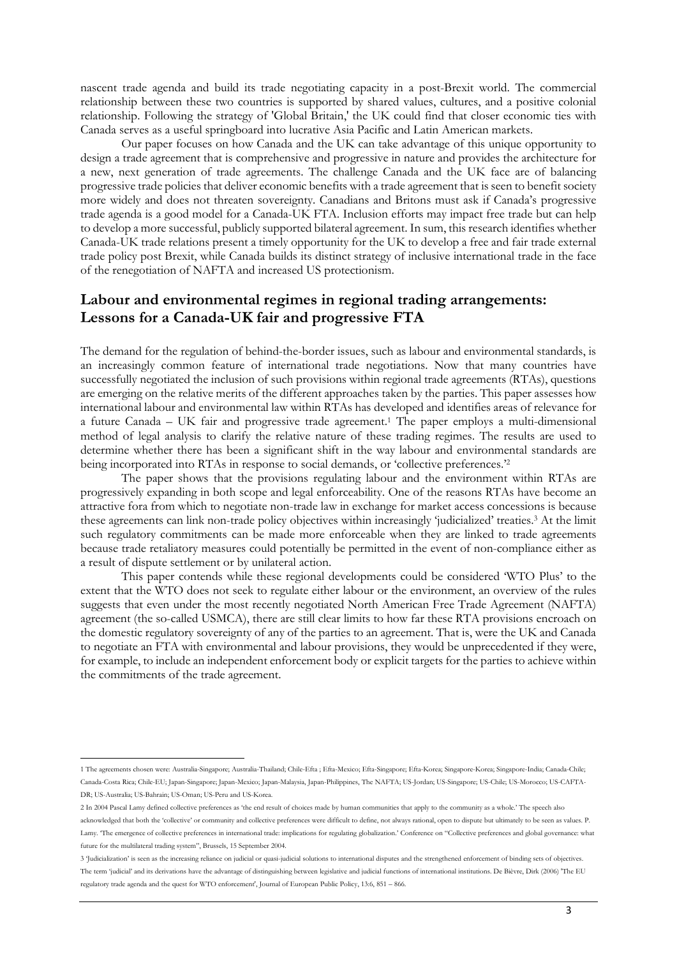nascent trade agenda and build its trade negotiating capacity in a post-Brexit world. The commercial relationship between these two countries is supported by shared values, cultures, and a positive colonial relationship. Following the strategy of 'Global Britain,' the UK could find that closer economic ties with Canada serves as a useful springboard into lucrative Asia Pacific and Latin American markets.

Our paper focuses on how Canada and the UK can take advantage of this unique opportunity to design a trade agreement that is comprehensive and progressive in nature and provides the architecture for a new, next generation of trade agreements. The challenge Canada and the UK face are of balancing progressive trade policies that deliver economic benefits with a trade agreement that is seen to benefit society more widely and does not threaten sovereignty. Canadians and Britons must ask if Canada's progressive trade agenda is a good model for a Canada-UK FTA. Inclusion efforts may impact free trade but can help to develop a more successful, publicly supported bilateral agreement. In sum, this research identifies whether Canada-UK trade relations present a timely opportunity for the UK to develop a free and fair trade external trade policy post Brexit, while Canada builds its distinct strategy of inclusive international trade in the face of the renegotiation of NAFTA and increased US protectionism.

# **Labour and environmental regimes in regional trading arrangements: Lessons for a Canada-UK fair and progressive FTA**

The demand for the regulation of behind-the-border issues, such as labour and environmental standards, is an increasingly common feature of international trade negotiations. Now that many countries have successfully negotiated the inclusion of such provisions within regional trade agreements (RTAs), questions are emerging on the relative merits of the different approaches taken by the parties. This paper assesses how international labour and environmental law within RTAs has developed and identifies areas of relevance for a future Canada – UK fair and progressive trade agreement. <sup>1</sup> The paper employs a multi-dimensional method of legal analysis to clarify the relative nature of these trading regimes. The results are used to determine whether there has been a significant shift in the way labour and environmental standards are being incorporated into RTAs in response to social demands, or 'collective preferences.'<sup>2</sup>

The paper shows that the provisions regulating labour and the environment within RTAs are progressively expanding in both scope and legal enforceability. One of the reasons RTAs have become an attractive fora from which to negotiate non-trade law in exchange for market access concessions is because these agreements can link non-trade policy objectives within increasingly 'judicialized' treaties.3 At the limit such regulatory commitments can be made more enforceable when they are linked to trade agreements because trade retaliatory measures could potentially be permitted in the event of non-compliance either as a result of dispute settlement or by unilateral action.

This paper contends while these regional developments could be considered 'WTO Plus' to the extent that the WTO does not seek to regulate either labour or the environment, an overview of the rules suggests that even under the most recently negotiated North American Free Trade Agreement (NAFTA) agreement (the so-called USMCA), there are still clear limits to how far these RTA provisions encroach on the domestic regulatory sovereignty of any of the parties to an agreement. That is, were the UK and Canada to negotiate an FTA with environmental and labour provisions, they would be unprecedented if they were, for example, to include an independent enforcement body or explicit targets for the parties to achieve within the commitments of the trade agreement.

<sup>1</sup> The agreements chosen were: Australia-Singapore; Australia-Thailand; Chile-Efta ; Efta-Mexico; Efta-Singapore; Efta-Korea; Singapore-Korea; Singapore-India; Canada-Chile; Canada-Costa Rica; Chile-EU; Japan-Singapore; Japan-Mexico; Japan-Malaysia, Japan-Philippines, The NAFTA; US-Jordan; US-Singapore; US-Chile; US-Morocco; US-CAFTA-DR; US-Australia; US-Bahrain; US-Oman; US-Peru and US-Korea.

<sup>2</sup> In 2004 Pascal Lamy defined collective preferences as 'the end result of choices made by human communities that apply to the community as a whole.' The speech also

acknowledged that both the 'collective' or community and collective preferences were difficult to define, not always rational, open to dispute but ultimately to be seen as values. P. Lamy. 'The emergence of collective preferences in international trade: implications for regulating globalization.' Conference on "Collective preferences and global governance: what future for the multilateral trading system", Brussels, 15 September 2004.

<sup>3</sup> 'Judicialization' is seen as the increasing reliance on judicial or quasi-judicial solutions to international disputes and the strengthened enforcement of binding sets of objectives. The term 'judicial' and its derivations have the advantage of distinguishing between legislative and judicial functions of international institutions. De Bièvre, Dirk (2006) 'The EU regulatory trade agenda and the quest for WTO enforcement', Journal of European Public Policy, 13:6, 851 – 866.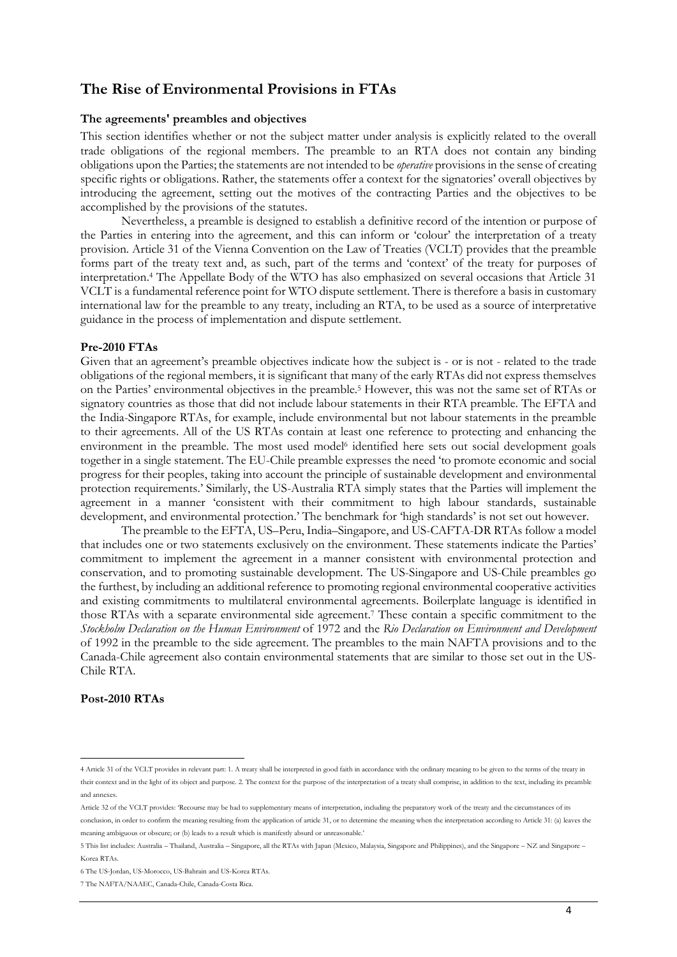# **The Rise of Environmental Provisions in FTAs**

### **The agreements' preambles and objectives**

This section identifies whether or not the subject matter under analysis is explicitly related to the overall trade obligations of the regional members. The preamble to an RTA does not contain any binding obligations upon the Parties; the statements are not intended to be *operative* provisions in the sense of creating specific rights or obligations. Rather, the statements offer a context for the signatories' overall objectives by introducing the agreement, setting out the motives of the contracting Parties and the objectives to be accomplished by the provisions of the statutes.

Nevertheless, a preamble is designed to establish a definitive record of the intention or purpose of the Parties in entering into the agreement, and this can inform or 'colour' the interpretation of a treaty provision*.* Article 31 of the Vienna Convention on the Law of Treaties (VCLT) provides that the preamble forms part of the treaty text and, as such, part of the terms and 'context' of the treaty for purposes of interpretation.4 The Appellate Body of the WTO has also emphasized on several occasions that Article 31 VCLT is a fundamental reference point for WTO dispute settlement. There is therefore a basis in customary international law for the preamble to any treaty, including an RTA, to be used as a source of interpretative guidance in the process of implementation and dispute settlement.

#### **Pre-2010 FTAs**

Given that an agreement's preamble objectives indicate how the subject is - or is not - related to the trade obligations of the regional members, it is significant that many of the early RTAs did not express themselves on the Parties' environmental objectives in the preamble.5 However, this was not the same set of RTAs or signatory countries as those that did not include labour statements in their RTA preamble. The EFTA and the India-Singapore RTAs, for example, include environmental but not labour statements in the preamble to their agreements. All of the US RTAs contain at least one reference to protecting and enhancing the environment in the preamble. The most used model<sup>6</sup> identified here sets out social development goals together in a single statement. The EU-Chile preamble expresses the need 'to promote economic and social progress for their peoples, taking into account the principle of sustainable development and environmental protection requirements.' Similarly, the US-Australia RTA simply states that the Parties will implement the agreement in a manner 'consistent with their commitment to high labour standards, sustainable development, and environmental protection.' The benchmark for 'high standards' is not set out however.

The preamble to the EFTA, US–Peru, India–Singapore, and US-CAFTA-DR RTAs follow a model that includes one or two statements exclusively on the environment. These statements indicate the Parties' commitment to implement the agreement in a manner consistent with environmental protection and conservation, and to promoting sustainable development. The US-Singapore and US-Chile preambles go the furthest, by including an additional reference to promoting regional environmental cooperative activities and existing commitments to multilateral environmental agreements. Boilerplate language is identified in those RTAs with a separate environmental side agreement.7 These contain a specific commitment to the *Stockholm Declaration on the Human Environment* of 1972 and the *Rio Declaration on Environment and Development*  of 1992 in the preamble to the side agreement. The preambles to the main NAFTA provisions and to the Canada-Chile agreement also contain environmental statements that are similar to those set out in the US-Chile RTA.

## **Post-2010 RTAs**

<sup>4</sup> Article 31 of the VCLT provides in relevant part: 1. A treaty shall be interpreted in good faith in accordance with the ordinary meaning to be given to the terms of the treaty in their context and in the light of its object and purpose. 2. The context for the purpose of the interpretation of a treaty shall comprise, in addition to the text, including its preamble and annexes.

Article 32 of the VCLT provides: 'Recourse may be had to supplementary means of interpretation, including the preparatory work of the treaty and the circumstances of its

conclusion, in order to confirm the meaning resulting from the application of article 31, or to determine the meaning when the interpretation according to Article 31: (a) leaves the meaning ambiguous or obscure; or (b) leads to a result which is manifestly absurd or unreasonable.'

<sup>5</sup> This list includes: Australia – Thailand, Australia – Singapore, all the RTAs with Japan (Mexico, Malaysia, Singapore and Philippines), and the Singapore – NZ and Singapore – Korea RTAs.

<sup>6</sup> The US-Jordan, US-Morocco, US-Bahrain and US-Korea RTAs.

<sup>7</sup> The NAFTA/NAAEC, Canada-Chile, Canada-Costa Rica.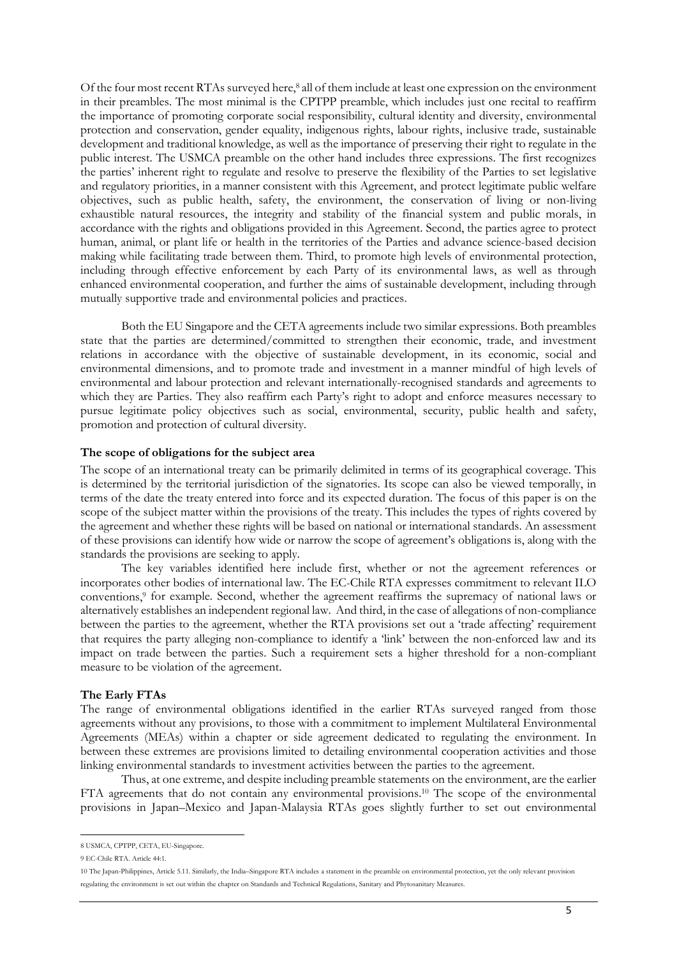Of the four most recent RTAs surveyed here,<sup>8</sup> all of them include at least one expression on the environment in their preambles. The most minimal is the CPTPP preamble, which includes just one recital to reaffirm the importance of promoting corporate social responsibility, cultural identity and diversity, environmental protection and conservation, gender equality, indigenous rights, labour rights, inclusive trade, sustainable development and traditional knowledge, as well as the importance of preserving their right to regulate in the public interest. The USMCA preamble on the other hand includes three expressions. The first recognizes the parties' inherent right to regulate and resolve to preserve the flexibility of the Parties to set legislative and regulatory priorities, in a manner consistent with this Agreement, and protect legitimate public welfare objectives, such as public health, safety, the environment, the conservation of living or non-living exhaustible natural resources, the integrity and stability of the financial system and public morals, in accordance with the rights and obligations provided in this Agreement. Second, the parties agree to protect human, animal, or plant life or health in the territories of the Parties and advance science-based decision making while facilitating trade between them. Third, to promote high levels of environmental protection, including through effective enforcement by each Party of its environmental laws, as well as through enhanced environmental cooperation, and further the aims of sustainable development, including through mutually supportive trade and environmental policies and practices.

Both the EU Singapore and the CETA agreements include two similar expressions. Both preambles state that the parties are determined/committed to strengthen their economic, trade, and investment relations in accordance with the objective of sustainable development, in its economic, social and environmental dimensions, and to promote trade and investment in a manner mindful of high levels of environmental and labour protection and relevant internationally-recognised standards and agreements to which they are Parties. They also reaffirm each Party's right to adopt and enforce measures necessary to pursue legitimate policy objectives such as social, environmental, security, public health and safety, promotion and protection of cultural diversity.

### **The scope of obligations for the subject area**

The scope of an international treaty can be primarily delimited in terms of its geographical coverage. This is determined by the territorial jurisdiction of the signatories. Its scope can also be viewed temporally, in terms of the date the treaty entered into force and its expected duration. The focus of this paper is on the scope of the subject matter within the provisions of the treaty. This includes the types of rights covered by the agreement and whether these rights will be based on national or international standards. An assessment of these provisions can identify how wide or narrow the scope of agreement's obligations is, along with the standards the provisions are seeking to apply.

The key variables identified here include first, whether or not the agreement references or incorporates other bodies of international law. The EC-Chile RTA expresses commitment to relevant ILO conventions,9 for example*.* Second, whether the agreement reaffirms the supremacy of national laws or alternatively establishes an independent regional law. And third, in the case of allegations of non-compliance between the parties to the agreement, whether the RTA provisions set out a 'trade affecting' requirement that requires the party alleging non-compliance to identify a 'link' between the non-enforced law and its impact on trade between the parties. Such a requirement sets a higher threshold for a non-compliant measure to be violation of the agreement.

### **The Early FTAs**

The range of environmental obligations identified in the earlier RTAs surveyed ranged from those agreements without any provisions, to those with a commitment to implement Multilateral Environmental Agreements (MEAs) within a chapter or side agreement dedicated to regulating the environment. In between these extremes are provisions limited to detailing environmental cooperation activities and those linking environmental standards to investment activities between the parties to the agreement.

Thus, at one extreme, and despite including preamble statements on the environment, are the earlier FTA agreements that do not contain any environmental provisions.10 The scope of the environmental provisions in Japan–Mexico and Japan-Malaysia RTAs goes slightly further to set out environmental

8 USMCA, CPTPP, CETA, EU-Singapore.

<sup>9</sup> EC-Chile RTA. Article 44:1.

<sup>10</sup> The Japan-Philippines, Article 5.11. Similarly, the India–Singapore RTA includes a statement in the preamble on environmental protection, yet the only relevant provision regulating the environment is set out within the chapter on Standards and Technical Regulations, Sanitary and Phytosanitary Measures.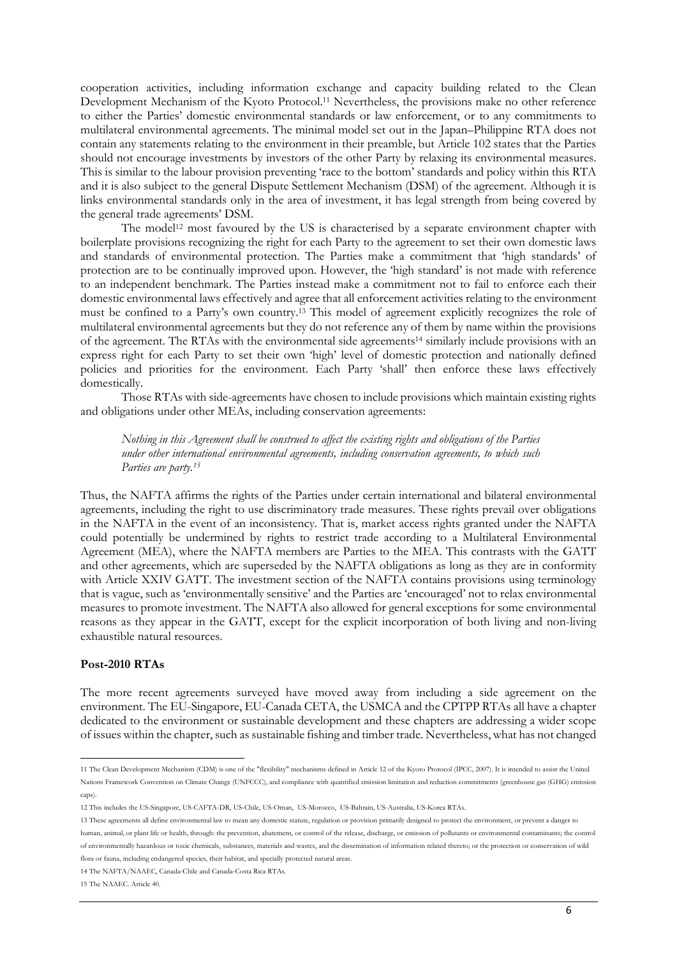cooperation activities, including information exchange and capacity building related to the Clean Development Mechanism of the Kyoto Protocol.11 Nevertheless, the provisions make no other reference to either the Parties' domestic environmental standards or law enforcement, or to any commitments to multilateral environmental agreements. The minimal model set out in the Japan–Philippine RTA does not contain any statements relating to the environment in their preamble, but Article 102 states that the Parties should not encourage investments by investors of the other Party by relaxing its environmental measures. This is similar to the labour provision preventing 'race to the bottom' standards and policy within this RTA and it is also subject to the general Dispute Settlement Mechanism (DSM) of the agreement. Although it is links environmental standards only in the area of investment, it has legal strength from being covered by the general trade agreements' DSM.

The model<sup>12</sup> most favoured by the US is characterised by a separate environment chapter with boilerplate provisions recognizing the right for each Party to the agreement to set their own domestic laws and standards of environmental protection. The Parties make a commitment that 'high standards' of protection are to be continually improved upon. However, the 'high standard' is not made with reference to an independent benchmark. The Parties instead make a commitment not to fail to enforce each their domestic environmental laws effectively and agree that all enforcement activities relating to the environment must be confined to a Party's own country.13 This model of agreement explicitly recognizes the role of multilateral environmental agreements but they do not reference any of them by name within the provisions of the agreement. The RTAs with the environmental side agreements14 similarly include provisions with an express right for each Party to set their own 'high' level of domestic protection and nationally defined policies and priorities for the environment. Each Party 'shall' then enforce these laws effectively domestically.

Those RTAs with side-agreements have chosen to include provisions which maintain existing rights and obligations under other MEAs, including conservation agreements:

*Nothing in this Agreement shall be construed to affect the existing rights and obligations of the Parties under other international environmental agreements, including conservation agreements, to which such Parties are party.15*

Thus, the NAFTA affirms the rights of the Parties under certain international and bilateral environmental agreements, including the right to use discriminatory trade measures. These rights prevail over obligations in the NAFTA in the event of an inconsistency. That is, market access rights granted under the NAFTA could potentially be undermined by rights to restrict trade according to a Multilateral Environmental Agreement (MEA), where the NAFTA members are Parties to the MEA. This contrasts with the GATT and other agreements, which are superseded by the NAFTA obligations as long as they are in conformity with Article XXIV GATT. The investment section of the NAFTA contains provisions using terminology that is vague, such as 'environmentally sensitive' and the Parties are 'encouraged' not to relax environmental measures to promote investment. The NAFTA also allowed for general exceptions for some environmental reasons as they appear in the GATT, except for the explicit incorporation of both living and non-living exhaustible natural resources.

## **Post-2010 RTAs**

The more recent agreements surveyed have moved away from including a side agreement on the environment. The EU-Singapore, EU-Canada CETA, the USMCA and the CPTPP RTAs all have a chapter dedicated to the environment or sustainable development and these chapters are addressing a wider scope of issues within the chapter, such as sustainable fishing and timber trade. Nevertheless, what has not changed

14 The NAFTA/NAAEC, Canada-Chile and Canada-Costa Rica RTAs.

15 The NAAEC. Article 40.

11 The Clean Development Mechanism (CDM) is one of the ["flexibility" mechanisms](http://en.wikipedia.org/wiki/Flexibility_mechanisms) defined in Article 12 of the [Kyoto Protocol](http://en.wikipedia.org/wiki/Kyoto_Protocol) (IPCC, 2007). It is intended to assist the [United](http://en.wikipedia.org/wiki/United_Nations_Framework_Convention_on_Climate_Change)  [Nations Framework Convention on Climate Change](http://en.wikipedia.org/wiki/United_Nations_Framework_Convention_on_Climate_Change) (UNFCCC), and compliance with quantified emission limitation and reduction commitments [\(greenhouse gas](http://en.wikipedia.org/wiki/Greenhouse_gas) (GHG) emission caps).

<sup>12</sup> This includes the US-Singapore, US-CAFTA-DR, US-Chile, US-Oman, US-Morocco, US-Bahrain, US-Australia, US-Korea RTAs.

<sup>13</sup> These agreements all define environmental law to mean any domestic statute, regulation or provision primarily designed to protect the environment, or prevent a danger to human, animal, or plant life or health, through: the prevention, abatement, or control of the release, discharge, or emission of pollutants or environmental contaminants; the control of environmentally hazardous or toxic chemicals, substances, materials and wastes, and the dissemination of information related thereto; or the protection or conservation of wild flora or fauna, including endangered species, their habitat, and specially protected natural areas.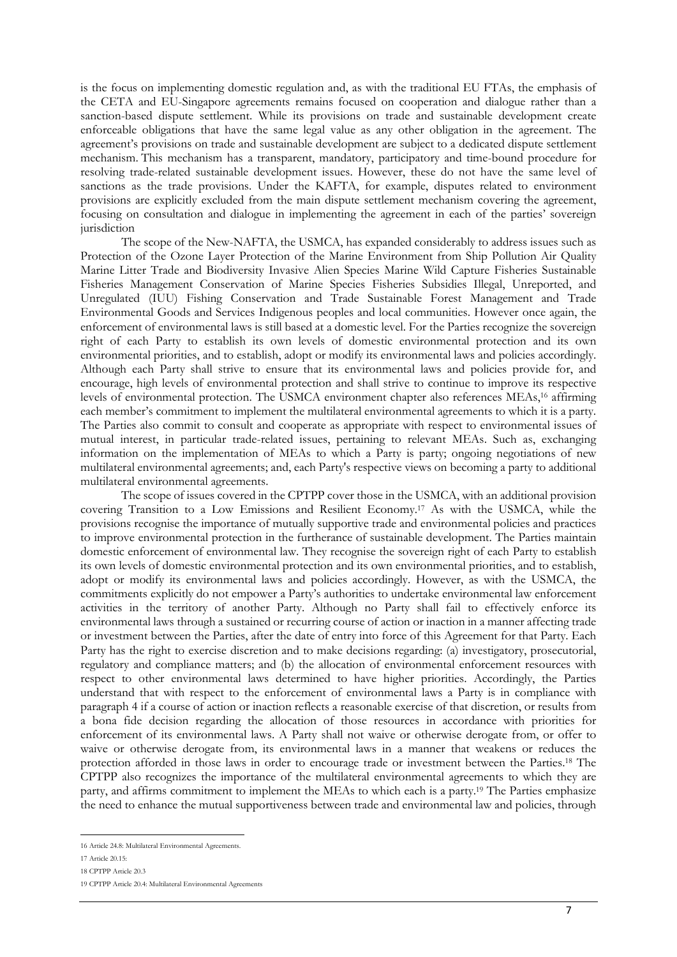is the focus on implementing domestic regulation and, as with the traditional EU FTAs, the emphasis of the CETA and EU-Singapore agreements remains focused on cooperation and dialogue rather than a sanction-based dispute settlement. While its provisions on trade and sustainable development create enforceable obligations that have the same legal value as any other obligation in the agreement. The agreement's provisions on trade and sustainable development are subject to a dedicated dispute settlement mechanism. This mechanism has a transparent, mandatory, participatory and time-bound procedure for resolving trade-related sustainable development issues. However, these do not have the same level of sanctions as the trade provisions. Under the KAFTA, for example, disputes related to environment provisions are explicitly excluded from the main dispute settlement mechanism covering the agreement, focusing on consultation and dialogue in implementing the agreement in each of the parties' sovereign jurisdiction

The scope of the New-NAFTA, the USMCA, has expanded considerably to address issues such as Protection of the Ozone Layer Protection of the Marine Environment from Ship Pollution Air Quality Marine Litter Trade and Biodiversity Invasive Alien Species Marine Wild Capture Fisheries Sustainable Fisheries Management Conservation of Marine Species Fisheries Subsidies Illegal, Unreported, and Unregulated (IUU) Fishing Conservation and Trade Sustainable Forest Management and Trade Environmental Goods and Services Indigenous peoples and local communities. However once again, the enforcement of environmental laws is still based at a domestic level. For the Parties recognize the sovereign right of each Party to establish its own levels of domestic environmental protection and its own environmental priorities, and to establish, adopt or modify its environmental laws and policies accordingly. Although each Party shall strive to ensure that its environmental laws and policies provide for, and encourage, high levels of environmental protection and shall strive to continue to improve its respective levels of environmental protection. The USMCA environment chapter also references MEAs,16 affirming each member's commitment to implement the multilateral environmental agreements to which it is a party. The Parties also commit to consult and cooperate as appropriate with respect to environmental issues of mutual interest, in particular trade-related issues, pertaining to relevant MEAs. Such as, exchanging information on the implementation of MEAs to which a Party is party; ongoing negotiations of new multilateral environmental agreements; and, each Party's respective views on becoming a party to additional multilateral environmental agreements.

The scope of issues covered in the CPTPP cover those in the USMCA, with an additional provision covering Transition to a Low Emissions and Resilient Economy.17 As with the USMCA, while the provisions recognise the importance of mutually supportive trade and environmental policies and practices to improve environmental protection in the furtherance of sustainable development. The Parties maintain domestic enforcement of environmental law. They recognise the sovereign right of each Party to establish its own levels of domestic environmental protection and its own environmental priorities, and to establish, adopt or modify its environmental laws and policies accordingly. However, as with the USMCA, the commitments explicitly do not empower a Party's authorities to undertake environmental law enforcement activities in the territory of another Party. Although no Party shall fail to effectively enforce its environmental laws through a sustained or recurring course of action or inaction in a manner affecting trade or investment between the Parties, after the date of entry into force of this Agreement for that Party. Each Party has the right to exercise discretion and to make decisions regarding: (a) investigatory, prosecutorial, regulatory and compliance matters; and (b) the allocation of environmental enforcement resources with respect to other environmental laws determined to have higher priorities. Accordingly, the Parties understand that with respect to the enforcement of environmental laws a Party is in compliance with paragraph 4 if a course of action or inaction reflects a reasonable exercise of that discretion, or results from a bona fide decision regarding the allocation of those resources in accordance with priorities for enforcement of its environmental laws. A Party shall not waive or otherwise derogate from, or offer to waive or otherwise derogate from, its environmental laws in a manner that weakens or reduces the protection afforded in those laws in order to encourage trade or investment between the Parties.18 The CPTPP also recognizes the importance of the multilateral environmental agreements to which they are party, and affirms commitment to implement the MEAs to which each is a party.19 The Parties emphasize the need to enhance the mutual supportiveness between trade and environmental law and policies, through

 $\overline{a}$ 16 Article 24.8: Multilateral Environmental Agreements.

<sup>17</sup> Article 20.15:

<sup>18</sup> CPTPP Article 20.3

<sup>19</sup> CPTPP Article 20.4: Multilateral Environmental Agreements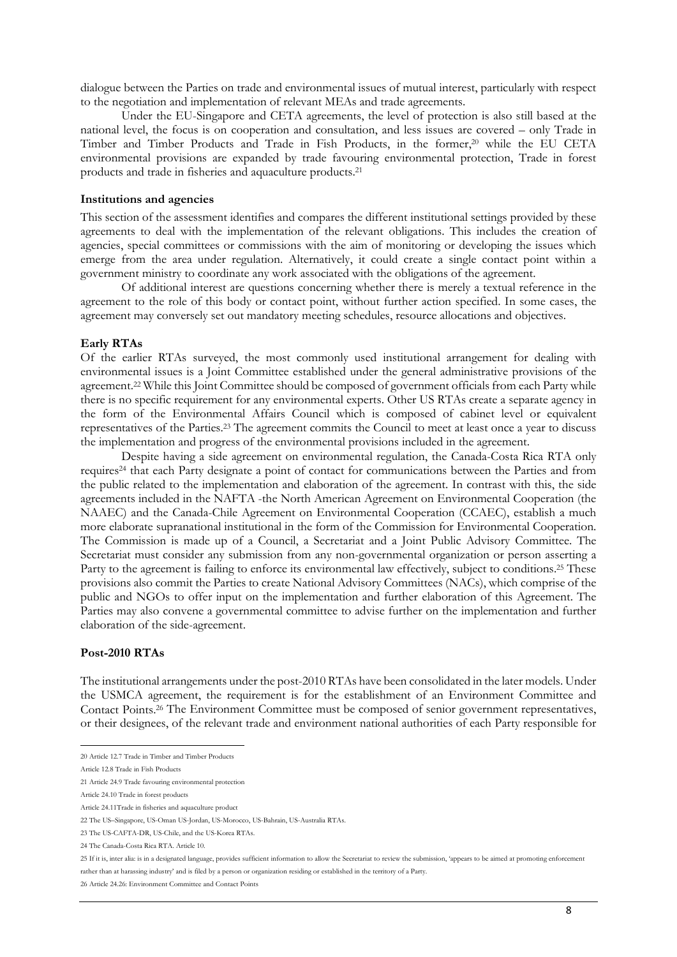dialogue between the Parties on trade and environmental issues of mutual interest, particularly with respect to the negotiation and implementation of relevant MEAs and trade agreements.

Under the EU-Singapore and CETA agreements, the level of protection is also still based at the national level, the focus is on cooperation and consultation, and less issues are covered – only Trade in Timber and Timber Products and Trade in Fish Products, in the former,20 while the EU CETA environmental provisions are expanded by trade favouring environmental protection, Trade in forest products and trade in fisheries and aquaculture products.21

#### **Institutions and agencies**

This section of the assessment identifies and compares the different institutional settings provided by these agreements to deal with the implementation of the relevant obligations. This includes the creation of agencies, special committees or commissions with the aim of monitoring or developing the issues which emerge from the area under regulation. Alternatively, it could create a single contact point within a government ministry to coordinate any work associated with the obligations of the agreement.

Of additional interest are questions concerning whether there is merely a textual reference in the agreement to the role of this body or contact point, without further action specified. In some cases, the agreement may conversely set out mandatory meeting schedules, resource allocations and objectives.

#### **Early RTAs**

Of the earlier RTAs surveyed, the most commonly used institutional arrangement for dealing with environmental issues is a Joint Committee established under the general administrative provisions of the agreement.22 While this Joint Committee should be composed of government officials from each Party while there is no specific requirement for any environmental experts. Other US RTAs create a separate agency in the form of the Environmental Affairs Council which is composed of cabinet level or equivalent representatives of the Parties.23 The agreement commits the Council to meet at least once a year to discuss the implementation and progress of the environmental provisions included in the agreement.

Despite having a side agreement on environmental regulation, the Canada-Costa Rica RTA only requires24 that each Party designate a point of contact for communications between the Parties and from the public related to the implementation and elaboration of the agreement. In contrast with this, the side agreements included in the NAFTA -the North American Agreement on Environmental Cooperation (the NAAEC) and the Canada-Chile Agreement on Environmental Cooperation (CCAEC), establish a much more elaborate supranational institutional in the form of the Commission for Environmental Cooperation. The Commission is made up of a Council, a Secretariat and a Joint Public Advisory Committee. The Secretariat must consider any submission from any non-governmental organization or person asserting a Party to the agreement is failing to enforce its environmental law effectively, subject to conditions.<sup>25</sup> These provisions also commit the Parties to create National Advisory Committees (NACs), which comprise of the public and NGOs to offer input on the implementation and further elaboration of this Agreement. The Parties may also convene a governmental committee to advise further on the implementation and further elaboration of the side-agreement.

#### **Post-2010 RTAs**

The institutional arrangements under the post-2010 RTAs have been consolidated in the later models. Under the USMCA agreement, the requirement is for the establishment of an Environment Committee and Contact Points.26 The Environment Committee must be composed of senior government representatives, or their designees, of the relevant trade and environment national authorities of each Party responsible for

20 Article 12.7 Trade in Timber and Timber Products

Article 12.8 Trade in Fish Products

<sup>21</sup> Article 24.9 Trade favouring environmental protection

Article 24.10 Trade in forest products

Article 24.11Trade in fisheries and aquaculture product

<sup>22</sup> The US–Singapore, US-Oman US-Jordan, US-Morocco, US-Bahrain, US-Australia RTAs.

<sup>23</sup> The US-CAFTA-DR, US-Chile, and the US-Korea RTAs.

<sup>24</sup> The Canada-Costa Rica RTA. Article 10.

<sup>25</sup> If it is, inter alia: is in a designated language, provides sufficient information to allow the Secretariat to review the submission, 'appears to be aimed at promoting enforcement rather than at harassing industry' and is filed by a person or organization residing or established in the territory of a Party.

<sup>26</sup> Article 24.26: Environment Committee and Contact Points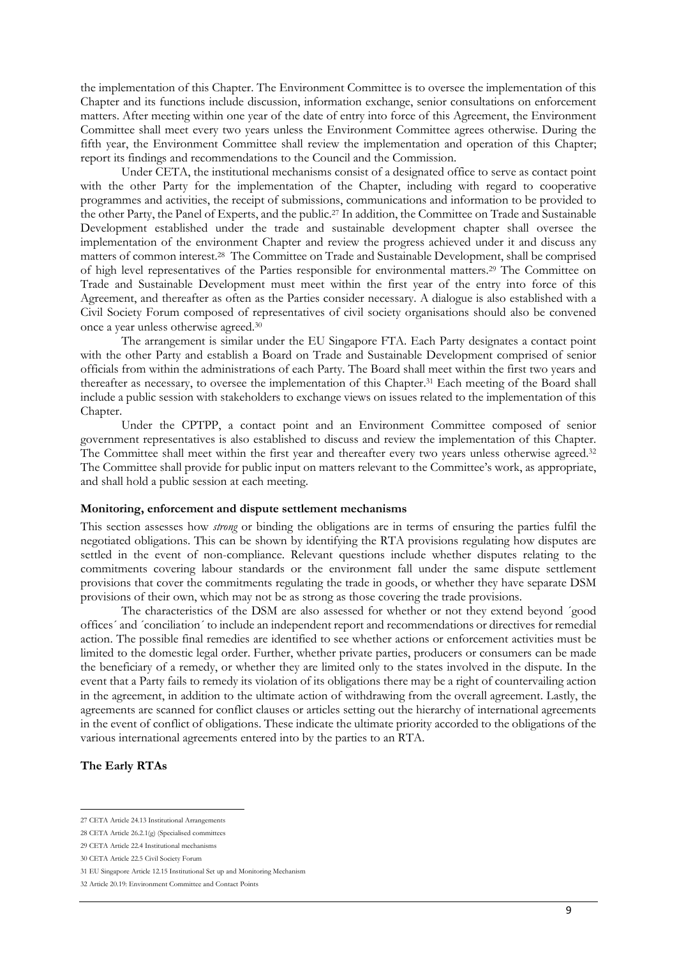the implementation of this Chapter. The Environment Committee is to oversee the implementation of this Chapter and its functions include discussion, information exchange, senior consultations on enforcement matters. After meeting within one year of the date of entry into force of this Agreement, the Environment Committee shall meet every two years unless the Environment Committee agrees otherwise. During the fifth year, the Environment Committee shall review the implementation and operation of this Chapter; report its findings and recommendations to the Council and the Commission.

Under CETA, the institutional mechanisms consist of a designated office to serve as contact point with the other Party for the implementation of the Chapter, including with regard to cooperative programmes and activities, the receipt of submissions, communications and information to be provided to the other Party, the Panel of Experts, and the public.27 In addition, the Committee on Trade and Sustainable Development established under the trade and sustainable development chapter shall oversee the implementation of the environment Chapter and review the progress achieved under it and discuss any matters of common interest.28 The Committee on Trade and Sustainable Development, shall be comprised of high level representatives of the Parties responsible for environmental matters.29 The Committee on Trade and Sustainable Development must meet within the first year of the entry into force of this Agreement, and thereafter as often as the Parties consider necessary. A dialogue is also established with a Civil Society Forum composed of representatives of civil society organisations should also be convened once a year unless otherwise agreed.30

The arrangement is similar under the EU Singapore FTA. Each Party designates a contact point with the other Party and establish a Board on Trade and Sustainable Development comprised of senior officials from within the administrations of each Party. The Board shall meet within the first two years and thereafter as necessary, to oversee the implementation of this Chapter.<sup>31</sup> Each meeting of the Board shall include a public session with stakeholders to exchange views on issues related to the implementation of this Chapter.

Under the CPTPP, a contact point and an Environment Committee composed of senior government representatives is also established to discuss and review the implementation of this Chapter. The Committee shall meet within the first year and thereafter every two years unless otherwise agreed.<sup>32</sup> The Committee shall provide for public input on matters relevant to the Committee's work, as appropriate, and shall hold a public session at each meeting.

#### **Monitoring, enforcement and dispute settlement mechanisms**

This section assesses how *strong* or binding the obligations are in terms of ensuring the parties fulfil the negotiated obligations. This can be shown by identifying the RTA provisions regulating how disputes are settled in the event of non-compliance. Relevant questions include whether disputes relating to the commitments covering labour standards or the environment fall under the same dispute settlement provisions that cover the commitments regulating the trade in goods, or whether they have separate DSM provisions of their own, which may not be as strong as those covering the trade provisions.

The characteristics of the DSM are also assessed for whether or not they extend beyond ´good offices´ and ´conciliation´ to include an independent report and recommendations or directives for remedial action. The possible final remedies are identified to see whether actions or enforcement activities must be limited to the domestic legal order. Further, whether private parties, producers or consumers can be made the beneficiary of a remedy, or whether they are limited only to the states involved in the dispute. In the event that a Party fails to remedy its violation of its obligations there may be a right of countervailing action in the agreement, in addition to the ultimate action of withdrawing from the overall agreement. Lastly, the agreements are scanned for conflict clauses or articles setting out the hierarchy of international agreements in the event of conflict of obligations. These indicate the ultimate priority accorded to the obligations of the various international agreements entered into by the parties to an RTA.

## **The Early RTAs**

<sup>27</sup> CETA Article 24.13 Institutional Arrangements

<sup>28</sup> CETA Article 26.2.1(g) (Specialised committees

<sup>29</sup> CETA Article 22.4 Institutional mechanisms

<sup>30</sup> CETA Article 22.5 Civil Society Forum

<sup>31</sup> EU Singapore Article 12.15 Institutional Set up and Monitoring Mechanism

<sup>32</sup> Article 20.19: Environment Committee and Contact Points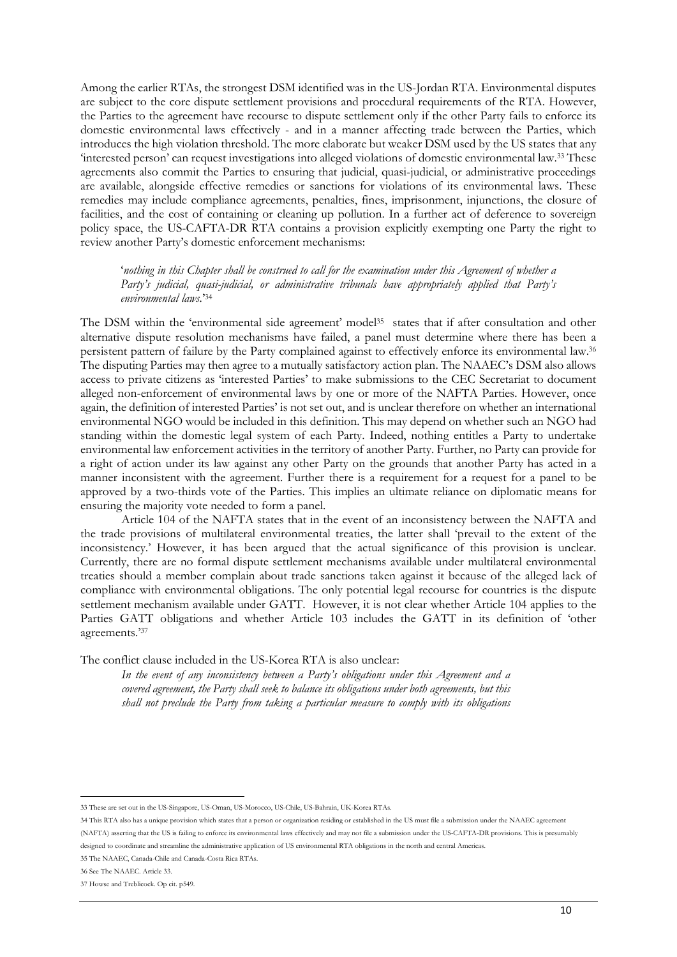Among the earlier RTAs, the strongest DSM identified was in the US-Jordan RTA. Environmental disputes are subject to the core dispute settlement provisions and procedural requirements of the RTA. However, the Parties to the agreement have recourse to dispute settlement only if the other Party fails to enforce its domestic environmental laws effectively - and in a manner affecting trade between the Parties, which introduces the high violation threshold. The more elaborate but weaker DSM used by the US states that any 'interested person' can request investigations into alleged violations of domestic environmental law.33 These agreements also commit the Parties to ensuring that judicial, quasi-judicial, or administrative proceedings are available, alongside effective remedies or sanctions for violations of its environmental laws. These remedies may include compliance agreements, penalties, fines, imprisonment, injunctions, the closure of facilities, and the cost of containing or cleaning up pollution. In a further act of deference to sovereign policy space, the US-CAFTA-DR RTA contains a provision explicitly exempting one Party the right to review another Party's domestic enforcement mechanisms:

'*nothing in this Chapter shall be construed to call for the examination under this Agreement of whether a Party's judicial, quasi-judicial, or administrative tribunals have appropriately applied that Party's environmental laws.*' 34

The DSM within the 'environmental side agreement' model<sup>35</sup> states that if after consultation and other alternative dispute resolution mechanisms have failed, a panel must determine where there has been a persistent pattern of failure by the Party complained against to effectively enforce its environmental law.36 The disputing Parties may then agree to a mutually satisfactory action plan. The NAAEC's DSM also allows access to private citizens as 'interested Parties' to make submissions to the CEC Secretariat to document alleged non-enforcement of environmental laws by one or more of the NAFTA Parties. However, once again, the definition of interested Parties' is not set out, and is unclear therefore on whether an international environmental NGO would be included in this definition. This may depend on whether such an NGO had standing within the domestic legal system of each Party. Indeed, nothing entitles a Party to undertake environmental law enforcement activities in the territory of another Party. Further, no Party can provide for a right of action under its law against any other Party on the grounds that another Party has acted in a manner inconsistent with the agreement. Further there is a requirement for a request for a panel to be approved by a two-thirds vote of the Parties. This implies an ultimate reliance on diplomatic means for ensuring the majority vote needed to form a panel.

Article 104 of the NAFTA states that in the event of an inconsistency between the NAFTA and the trade provisions of multilateral environmental treaties, the latter shall 'prevail to the extent of the inconsistency.' However, it has been argued that the actual significance of this provision is unclear. Currently, there are no formal dispute settlement mechanisms available under multilateral environmental treaties should a member complain about trade sanctions taken against it because of the alleged lack of compliance with environmental obligations. The only potential legal recourse for countries is the dispute settlement mechanism available under GATT. However, it is not clear whether Article 104 applies to the Parties GATT obligations and whether Article 103 includes the GATT in its definition of 'other agreements.'37

The conflict clause included in the US-Korea RTA is also unclear:

*In the event of any inconsistency between a Party's obligations under this Agreement and a covered agreement, the Party shall seek to balance its obligations under both agreements, but this shall not preclude the Party from taking a particular measure to comply with its obligations* 

 $\overline{a}$ 33 These are set out in the US-Singapore, US-Oman, US-Morocco, US-Chile, US-Bahrain, UK-Korea RTAs.

<sup>34</sup> This RTA also has a unique provision which states that a person or organization residing or established in the US must file a submission under the NAAEC agreement (NAFTA) asserting that the US is failing to enforce its environmental laws effectively and may not file a submission under the US-CAFTA-DR provisions. This is presumably designed to coordinate and streamline the administrative application of US environmental RTA obligations in the north and central Americas.

<sup>35</sup> The NAAEC, Canada-Chile and Canada-Costa Rica RTAs.

<sup>36</sup> See The NAAEC. Article 33.

<sup>37</sup> Howse and Treblicock. Op cit. p549.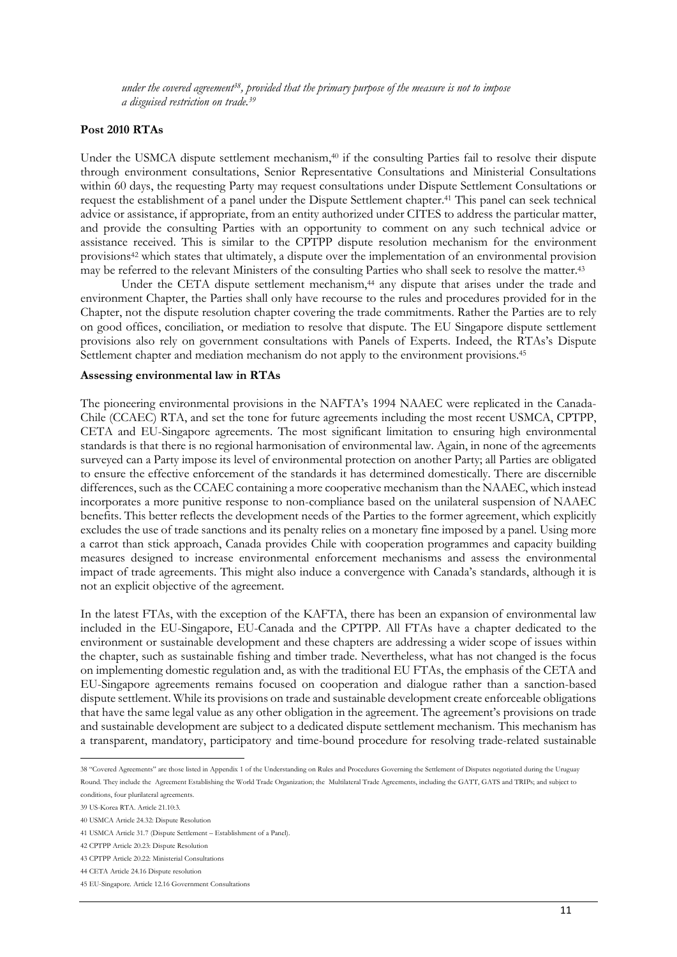*under the covered agreement38, provided that the primary purpose of the measure is not to impose a disguised restriction on trade.39*

## **Post 2010 RTAs**

Under the USMCA dispute settlement mechanism,<sup>40</sup> if the consulting Parties fail to resolve their dispute through environment consultations, Senior Representative Consultations and Ministerial Consultations within 60 days, the requesting Party may request consultations under Dispute Settlement Consultations or request the establishment of a panel under the Dispute Settlement chapter.41 This panel can seek technical advice or assistance, if appropriate, from an entity authorized under CITES to address the particular matter, and provide the consulting Parties with an opportunity to comment on any such technical advice or assistance received. This is similar to the CPTPP dispute resolution mechanism for the environment provisions42 which states that ultimately, a dispute over the implementation of an environmental provision may be referred to the relevant Ministers of the consulting Parties who shall seek to resolve the matter.43

Under the CETA dispute settlement mechanism,44 any dispute that arises under the trade and environment Chapter, the Parties shall only have recourse to the rules and procedures provided for in the Chapter, not the dispute resolution chapter covering the trade commitments. Rather the Parties are to rely on good offices, conciliation, or mediation to resolve that dispute. The EU Singapore dispute settlement provisions also rely on government consultations with Panels of Experts. Indeed, the RTAs's Dispute Settlement chapter and mediation mechanism do not apply to the environment provisions.<sup>45</sup>

#### **Assessing environmental law in RTAs**

The pioneering environmental provisions in the NAFTA's 1994 NAAEC were replicated in the Canada-Chile (CCAEC) RTA, and set the tone for future agreements including the most recent USMCA, CPTPP, CETA and EU-Singapore agreements. The most significant limitation to ensuring high environmental standards is that there is no regional harmonisation of environmental law. Again, in none of the agreements surveyed can a Party impose its level of environmental protection on another Party; all Parties are obligated to ensure the effective enforcement of the standards it has determined domestically. There are discernible differences, such as the CCAEC containing a more cooperative mechanism than the NAAEC, which instead incorporates a more punitive response to non-compliance based on the unilateral suspension of NAAEC benefits. This better reflects the development needs of the Parties to the former agreement, which explicitly excludes the use of trade sanctions and its penalty relies on a monetary fine imposed by a panel. Using more a carrot than stick approach, Canada provides Chile with cooperation programmes and capacity building measures designed to increase environmental enforcement mechanisms and assess the environmental impact of trade agreements. This might also induce a convergence with Canada's standards, although it is not an explicit objective of the agreement.

In the latest FTAs, with the exception of the KAFTA, there has been an expansion of environmental law included in the EU-Singapore, EU-Canada and the CPTPP. All FTAs have a chapter dedicated to the environment or sustainable development and these chapters are addressing a wider scope of issues within the chapter, such as sustainable fishing and timber trade. Nevertheless, what has not changed is the focus on implementing domestic regulation and, as with the traditional EU FTAs, the emphasis of the CETA and EU-Singapore agreements remains focused on cooperation and dialogue rather than a sanction-based dispute settlement. While its provisions on trade and sustainable development create enforceable obligations that have the same legal value as any other obligation in the agreement. The agreement's provisions on trade and sustainable development are subject to a dedicated dispute settlement mechanism. This mechanism has a transparent, mandatory, participatory and time-bound procedure for resolving trade-related sustainable

38 "Covered Agreements" are those listed in Appendix 1 of the Understanding on Rules and Procedures Governing the Settlement of Disputes negotiated during the Uruguay Round. They include the Agreement Establishing the World Trade Organization; the Multilateral Trade Agreements, including the GATT, GATS and TRIPs; and subject to

conditions, four plurilateral agreements.

<sup>39</sup> US-Korea RTA. Article 21.10:3.

<sup>40</sup> USMCA Article 24.32: Dispute Resolution

<sup>41</sup> USMCA Article 31.7 (Dispute Settlement – Establishment of a Panel).

<sup>42</sup> CPTPP Article 20.23: Dispute Resolution

<sup>43</sup> CPTPP Article 20.22: Ministerial Consultations

<sup>44</sup> CETA Article 24.16 Dispute resolution

<sup>45</sup> EU-Singapore. Article 12.16 Government Consultations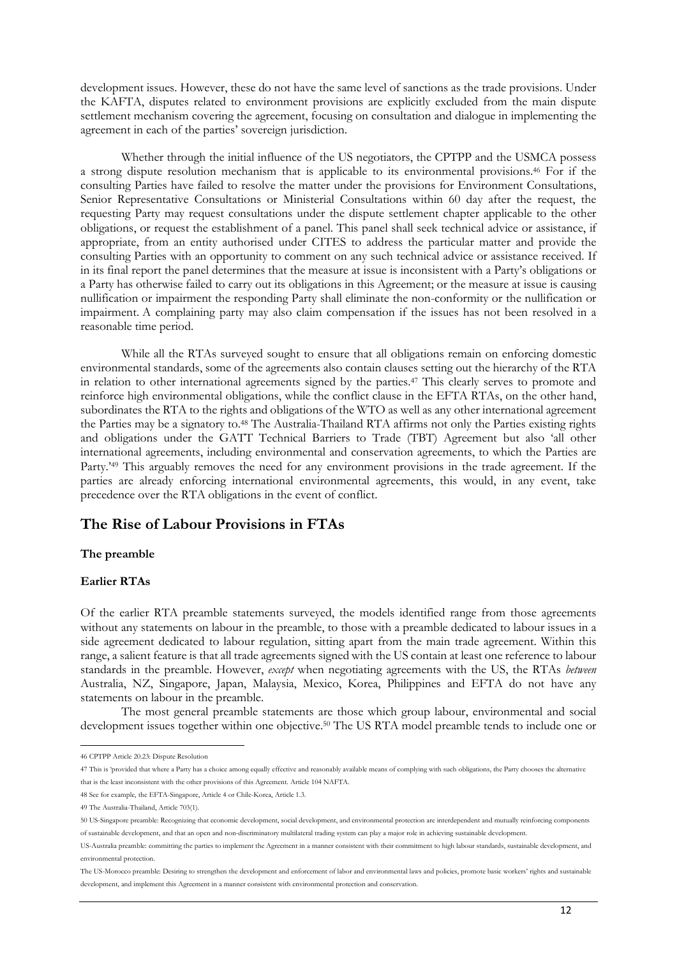development issues. However, these do not have the same level of sanctions as the trade provisions. Under the KAFTA, disputes related to environment provisions are explicitly excluded from the main dispute settlement mechanism covering the agreement, focusing on consultation and dialogue in implementing the agreement in each of the parties' sovereign jurisdiction.

Whether through the initial influence of the US negotiators, the CPTPP and the USMCA possess a strong dispute resolution mechanism that is applicable to its environmental provisions.46 For if the consulting Parties have failed to resolve the matter under the provisions for Environment Consultations, Senior Representative Consultations or Ministerial Consultations within 60 day after the request, the requesting Party may request consultations under the dispute settlement chapter applicable to the other obligations, or request the establishment of a panel. This panel shall seek technical advice or assistance, if appropriate, from an entity authorised under CITES to address the particular matter and provide the consulting Parties with an opportunity to comment on any such technical advice or assistance received. If in its final report the panel determines that the measure at issue is inconsistent with a Party's obligations or a Party has otherwise failed to carry out its obligations in this Agreement; or the measure at issue is causing nullification or impairment the responding Party shall eliminate the non-conformity or the nullification or impairment. A complaining party may also claim compensation if the issues has not been resolved in a reasonable time period.

While all the RTAs surveyed sought to ensure that all obligations remain on enforcing domestic environmental standards, some of the agreements also contain clauses setting out the hierarchy of the RTA in relation to other international agreements signed by the parties. <sup>47</sup> This clearly serves to promote and reinforce high environmental obligations, while the conflict clause in the EFTA RTAs, on the other hand, subordinates the RTA to the rights and obligations of the WTO as well as any other international agreement the Parties may be a signatory to.48 The Australia-Thailand RTA affirms not only the Parties existing rights and obligations under the GATT Technical Barriers to Trade (TBT) Agreement but also 'all other international agreements, including environmental and conservation agreements, to which the Parties are Party.<sup>249</sup> This arguably removes the need for any environment provisions in the trade agreement. If the parties are already enforcing international environmental agreements, this would, in any event, take precedence over the RTA obligations in the event of conflict.

# **The Rise of Labour Provisions in FTAs**

## **The preamble**

## **Earlier RTAs**

Of the earlier RTA preamble statements surveyed, the models identified range from those agreements without any statements on labour in the preamble, to those with a preamble dedicated to labour issues in a side agreement dedicated to labour regulation, sitting apart from the main trade agreement. Within this range, a salient feature is that all trade agreements signed with the US contain at least one reference to labour standards in the preamble. However, *except* when negotiating agreements with the US, the RTAs *between* Australia, NZ, Singapore, Japan, Malaysia, Mexico, Korea, Philippines and EFTA do not have any statements on labour in the preamble.

The most general preamble statements are those which group labour, environmental and social development issues together within one objective.<sup>50</sup> The US RTA model preamble tends to include one or

The US-Morocco preamble: Desiring to strengthen the development and enforcement of labor and environmental laws and policies, promote basic workers' rights and sustainable development, and implement this Agreement in a manner consistent with environmental protection and conservation.

46 CPTPP Article 20.23: Dispute Resolution

<sup>47</sup> This is 'provided that where a Party has a choice among equally effective and reasonably available means of complying with such obligations, the Party chooses the alternative that is the least inconsistent with the other provisions of this Agreement. Article 104 NAFTA.

<sup>48</sup> See for example, the EFTA-Singapore, Article 4 or Chile-Korea, Article 1.3.

<sup>49</sup> The Australia-Thailand, Article 703(1).

<sup>50</sup> US-Singapore preamble: Recognizing that economic development, social development, and environmental protection are interdependent and mutually reinforcing components of sustainable development, and that an open and non-discriminatory multilateral trading system can play a major role in achieving sustainable development.

US-Australia preamble: committing the parties to implement the Agreement in a manner consistent with their commitment to high labour standards, sustainable development, and environmental protection.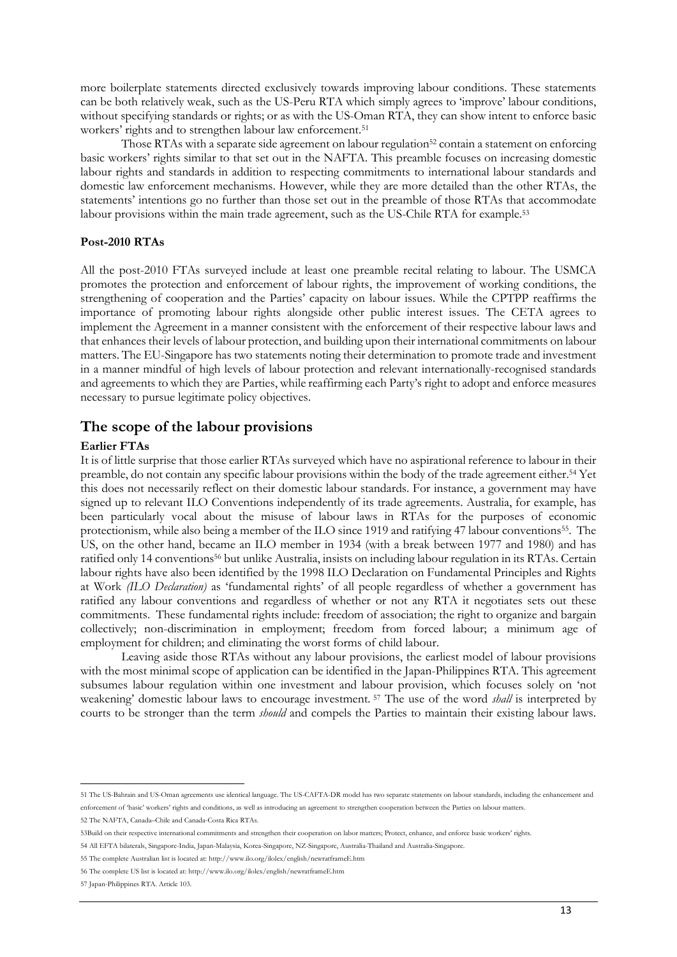more boilerplate statements directed exclusively towards improving labour conditions. These statements can be both relatively weak, such as the US-Peru RTA which simply agrees to 'improve' labour conditions, without specifying standards or rights; or as with the US-Oman RTA, they can show intent to enforce basic workers' rights and to strengthen labour law enforcement.51

Those RTAs with a separate side agreement on labour regulation<sup>52</sup> contain a statement on enforcing basic workers' rights similar to that set out in the NAFTA. This preamble focuses on increasing domestic labour rights and standards in addition to respecting commitments to international labour standards and domestic law enforcement mechanisms. However, while they are more detailed than the other RTAs, the statements' intentions go no further than those set out in the preamble of those RTAs that accommodate labour provisions within the main trade agreement, such as the US-Chile RTA for example.53

## **Post-2010 RTAs**

All the post-2010 FTAs surveyed include at least one preamble recital relating to labour. The USMCA promotes the protection and enforcement of labour rights, the improvement of working conditions, the strengthening of cooperation and the Parties' capacity on labour issues. While the CPTPP reaffirms the importance of promoting labour rights alongside other public interest issues. The CETA agrees to implement the Agreement in a manner consistent with the enforcement of their respective labour laws and that enhances their levels of labour protection, and building upon their international commitments on labour matters. The EU-Singapore has two statements noting their determination to promote trade and investment in a manner mindful of high levels of labour protection and relevant internationally-recognised standards and agreements to which they are Parties, while reaffirming each Party's right to adopt and enforce measures necessary to pursue legitimate policy objectives.

## **The scope of the labour provisions**

## **Earlier FTAs**

It is of little surprise that those earlier RTAs surveyed which have no aspirational reference to labour in their preamble, do not contain any specific labour provisions within the body of the trade agreement either.54 Yet this does not necessarily reflect on their domestic labour standards. For instance, a government may have signed up to relevant ILO Conventions independently of its trade agreements. Australia, for example, has been particularly vocal about the misuse of labour laws in RTAs for the purposes of economic protectionism, while also being a member of the ILO since 1919 and ratifying 47 labour conventions<sup>55</sup>. The US, on the other hand, became an ILO member in 1934 (with a break between 1977 and 1980) and has ratified only 14 conventions<sup>56</sup> but unlike Australia, insists on including labour regulation in its RTAs. Certain labour rights have also been identified by the 1998 ILO Declaration on Fundamental Principles and Rights at Work *(ILO Declaration)* as 'fundamental rights' of all people regardless of whether a government has ratified any labour conventions and regardless of whether or not any RTA it negotiates sets out these commitments. These fundamental rights include: freedom of association; the right to organize and bargain collectively; non-discrimination in employment; freedom from forced labour; a minimum age of employment for children; and eliminating the worst forms of child labour.

Leaving aside those RTAs without any labour provisions, the earliest model of labour provisions with the most minimal scope of application can be identified in the Japan-Philippines RTA. This agreement subsumes labour regulation within one investment and labour provision, which focuses solely on 'not weakening' domestic labour laws to encourage investment*.* <sup>57</sup> The use of the word *shall* is interpreted by courts to be stronger than the term *should* and compels the Parties to maintain their existing labour laws.

<sup>51</sup> The US-Bahrain and US-Oman agreements use identical language. The US-CAFTA-DR model has two separate statements on labour standards, including the enhancement and enforcement of 'basic' workers' rights and conditions, as well as introducing an agreement to strengthen cooperation between the Parties on labour matters.

<sup>52</sup> The NAFTA, Canada–Chile and Canada-Costa Rica RTAs.

<sup>53</sup>Build on their respective international commitments and strengthen their cooperation on labor matters; Protect, enhance, and enforce basic workers' rights.

<sup>54</sup> All EFTA bilaterals, Singapore-India, Japan-Malaysia, Korea-Singapore, NZ-Singapore, Australia-Thailand and Australia-Singapore.

<sup>55</sup> The complete Australian list is located at:<http://www.ilo.org/ilolex/english/newratframeE.htm>

<sup>56</sup> The complete US list is located at[: http://www.ilo.org/ilolex/english/newratframeE.htm](http://www.ilo.org/ilolex/english/newratframeE.htm)

<sup>57</sup> Japan-Philippines RTA. Article 103.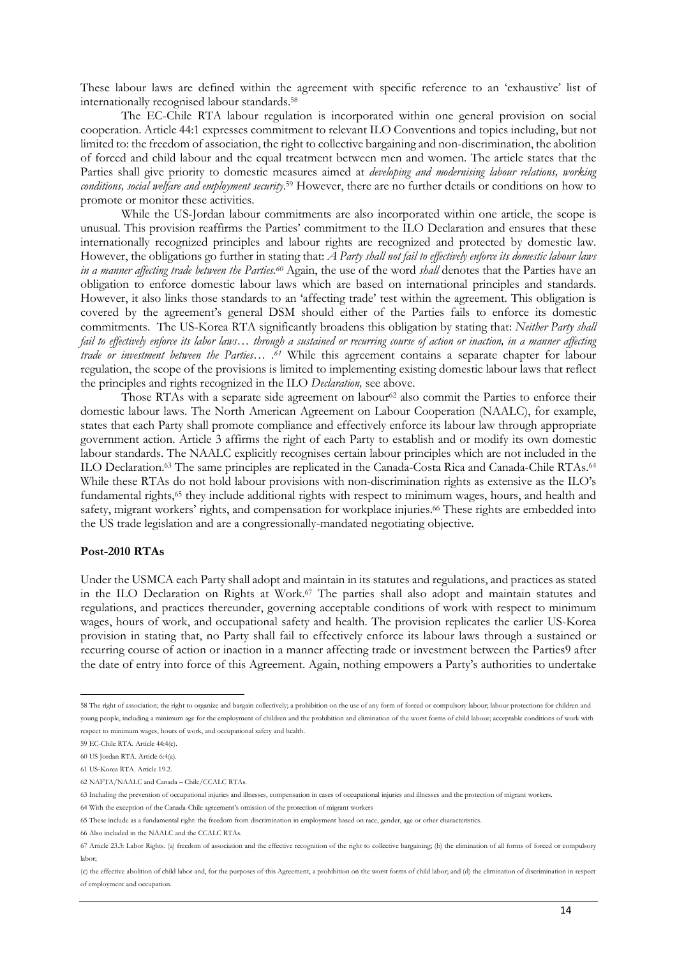These labour laws are defined within the agreement with specific reference to an 'exhaustive' list of internationally recognised labour standards.58

The EC-Chile RTA labour regulation is incorporated within one general provision on social cooperation. Article 44:1 expresses commitment to relevant ILO Conventions and topics including, but not limited to: the freedom of association, the right to collective bargaining and non-discrimination, the abolition of forced and child labour and the equal treatment between men and women. The article states that the Parties shall give priority to domestic measures aimed at *developing and modernising labour relations, working conditions, social welfare and employment security*. <sup>59</sup> However, there are no further details or conditions on how to promote or monitor these activities.

While the US-Jordan labour commitments are also incorporated within one article, the scope is unusual. This provision reaffirms the Parties' commitment to the ILO Declaration and ensures that these internationally recognized principles and labour rights are recognized and protected by domestic law. However, the obligations go further in stating that: *A Party shall not fail to effectively enforce its domestic labour laws in a manner affecting trade between the Parties.60* Again, the use of the word *shall* denotes that the Parties have an obligation to enforce domestic labour laws which are based on international principles and standards. However, it also links those standards to an 'affecting trade' test within the agreement. This obligation is covered by the agreement's general DSM should either of the Parties fails to enforce its domestic commitments. The US-Korea RTA significantly broadens this obligation by stating that: *Neither Party shall fail to effectively enforce its labor laws… through a sustained or recurring course of action or inaction, in a manner affecting trade or investment between the Parties… .61* While this agreement contains a separate chapter for labour regulation, the scope of the provisions is limited to implementing existing domestic labour laws that reflect the principles and rights recognized in the ILO *Declaration,* see above.

Those RTAs with a separate side agreement on labour<sup>62</sup> also commit the Parties to enforce their domestic labour laws. The North American Agreement on Labour Cooperation (NAALC), for example, states that each Party shall promote compliance and effectively enforce its labour law through appropriate government action. Article 3 affirms the right of each Party to establish and or modify its own domestic labour standards. The NAALC explicitly recognises certain labour principles which are not included in the ILO Declaration.<sup>63</sup> The same principles are replicated in the Canada-Costa Rica and Canada-Chile RTAs.<sup>64</sup> While these RTAs do not hold labour provisions with non-discrimination rights as extensive as the ILO's fundamental rights,<sup>65</sup> they include additional rights with respect to minimum wages, hours, and health and safety, migrant workers' rights, and compensation for workplace injuries.66 These rights are embedded into the US trade legislation and are a congressionally-mandated negotiating objective.

### **Post-2010 RTAs**

Under the USMCA each Party shall adopt and maintain in its statutes and regulations, and practices as stated in the ILO Declaration on Rights at Work. <sup>67</sup> The parties shall also adopt and maintain statutes and regulations, and practices thereunder, governing acceptable conditions of work with respect to minimum wages, hours of work, and occupational safety and health. The provision replicates the earlier US-Korea provision in stating that, no Party shall fail to effectively enforce its labour laws through a sustained or recurring course of action or inaction in a manner affecting trade or investment between the Parties9 after the date of entry into force of this Agreement. Again, nothing empowers a Party's authorities to undertake

66 Also included in the NAALC and the CCALC RTAs.

58 The right of association; the right to organize and bargain collectively; a prohibition on the use of any form of forced or compulsory labour; labour protections for children and young people, including a minimum age for the employment of children and the prohibition and elimination of the worst forms of child labour; acceptable conditions of work with respect to minimum wages, hours of work, and occupational safety and health.

<sup>59</sup> EC-Chile RTA. Article 44:4(c).

<sup>60</sup> US Jordan RTA. Article 6:4(a).

<sup>61</sup> US-Korea RTA. Article 19.2.

<sup>62</sup> NAFTA/NAALC and Canada – Chile/CCALC RTAs.

<sup>63</sup> Including the prevention of occupational injuries and illnesses, compensation in cases of occupational injuries and illnesses and the protection of migrant workers.

<sup>64</sup> With the exception of the Canada-Chile agreement's omission of the protection of migrant workers

<sup>65</sup> These include as a fundamental right: the freedom from discrimination in employment based on race, gender, age or other characteristics.

<sup>67</sup> Article 23.3: Labor Rights. (a) freedom of association and the effective recognition of the right to collective bargaining; (b) the elimination of all forms of forced or compulsory labor;

<sup>(</sup>c) the effective abolition of child labor and, for the purposes of this Agreement, a prohibition on the worst forms of child labor; and (d) the elimination of discrimination in respect of employment and occupation.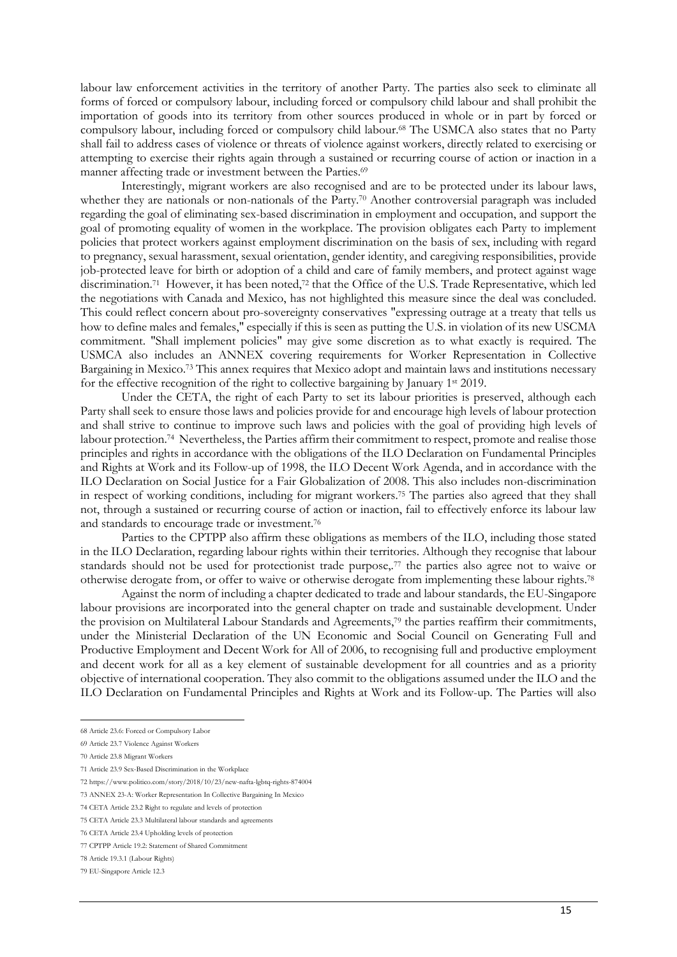labour law enforcement activities in the territory of another Party. The parties also seek to eliminate all forms of forced or compulsory labour, including forced or compulsory child labour and shall prohibit the importation of goods into its territory from other sources produced in whole or in part by forced or compulsory labour, including forced or compulsory child labour.68 The USMCA also states that no Party shall fail to address cases of violence or threats of violence against workers, directly related to exercising or attempting to exercise their rights again through a sustained or recurring course of action or inaction in a manner affecting trade or investment between the Parties.<sup>69</sup>

Interestingly, migrant workers are also recognised and are to be protected under its labour laws, whether they are nationals or non-nationals of the Party.<sup>70</sup> Another controversial paragraph was included regarding the goal of eliminating sex-based discrimination in employment and occupation, and support the goal of promoting equality of women in the workplace. The provision obligates each Party to implement policies that protect workers against employment discrimination on the basis of sex, including with regard to pregnancy, sexual harassment, sexual orientation, gender identity, and caregiving responsibilities, provide job-protected leave for birth or adoption of a child and care of family members, and protect against wage discrimination.71 However, it has been noted,72 that the Office of the U.S. Trade Representative, which led the negotiations with Canada and Mexico, has not highlighted this measure since the deal was concluded. This could reflect concern about pro-sovereignty conservatives "expressing outrage at a treaty that tells us how to define males and females," especially if this is seen as putting the U.S. in violation of its new USCMA commitment. "Shall implement policies" may give some discretion as to what exactly is required. The USMCA also includes an ANNEX covering requirements for Worker Representation in Collective Bargaining in Mexico.73 This annex requires that Mexico adopt and maintain laws and institutions necessary for the effective recognition of the right to collective bargaining by January 1<sup>st</sup> 2019.

Under the CETA, the right of each Party to set its labour priorities is preserved, although each Party shall seek to ensure those laws and policies provide for and encourage high levels of labour protection and shall strive to continue to improve such laws and policies with the goal of providing high levels of labour protection.<sup>74</sup> Nevertheless, the Parties affirm their commitment to respect, promote and realise those principles and rights in accordance with the obligations of the ILO Declaration on Fundamental Principles and Rights at Work and its Follow-up of 1998, the ILO Decent Work Agenda, and in accordance with the ILO Declaration on Social Justice for a Fair Globalization of 2008. This also includes non-discrimination in respect of working conditions, including for migrant workers.75 The parties also agreed that they shall not, through a sustained or recurring course of action or inaction, fail to effectively enforce its labour law and standards to encourage trade or investment.76

Parties to the CPTPP also affirm these obligations as members of the ILO, including those stated in the ILO Declaration, regarding labour rights within their territories. Although they recognise that labour standards should not be used for protectionist trade purpose,.<sup>77</sup> the parties also agree not to waive or otherwise derogate from, or offer to waive or otherwise derogate from implementing these labour rights.78

Against the norm of including a chapter dedicated to trade and labour standards, the EU-Singapore labour provisions are incorporated into the general chapter on trade and sustainable development. Under the provision on Multilateral Labour Standards and Agreements,79 the parties reaffirm their commitments, under the Ministerial Declaration of the UN Economic and Social Council on Generating Full and Productive Employment and Decent Work for All of 2006, to recognising full and productive employment and decent work for all as a key element of sustainable development for all countries and as a priority objective of international cooperation. They also commit to the obligations assumed under the ILO and the ILO Declaration on Fundamental Principles and Rights at Work and its Follow-up. The Parties will also

70 Article 23.8 Migrant Workers

 $\overline{a}$ 

- 71 Article 23.9 Sex-Based Discrimination in the Workplace
- 72 https://www.politico.com/story/2018/10/23/new-nafta-lgbtq-rights-874004
- 73 ANNEX 23-A: Worker Representation In Collective Bargaining In Mexico

75 CETA Article 23.3 Multilateral labour standards and agreements

<sup>68</sup> Article 23.6: Forced or Compulsory Labor

<sup>69</sup> Article 23.7 Violence Against Workers

<sup>74</sup> CETA Article 23.2 Right to regulate and levels of protection

<sup>76</sup> CETA Article 23.4 Upholding levels of protection

<sup>77</sup> CPTPP Article 19.2: Statement of Shared Commitment

<sup>78</sup> Article 19.3.1 (Labour Rights)

<sup>79</sup> EU-Singapore Article 12.3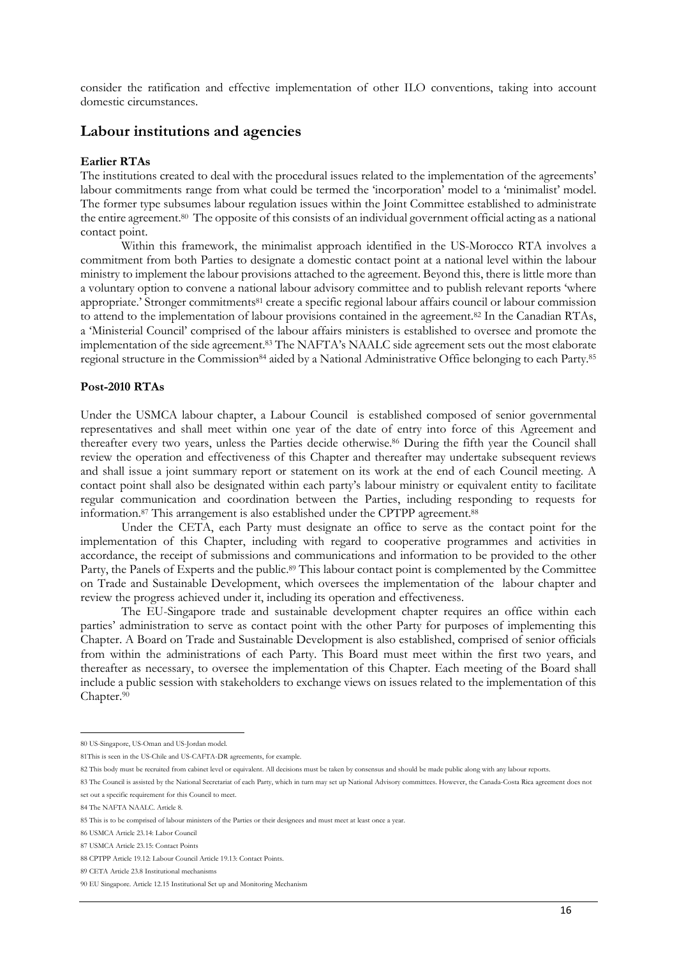consider the ratification and effective implementation of other ILO conventions, taking into account domestic circumstances.

# **Labour institutions and agencies**

## **Earlier RTAs**

The institutions created to deal with the procedural issues related to the implementation of the agreements' labour commitments range from what could be termed the 'incorporation' model to a 'minimalist' model. The former type subsumes labour regulation issues within the Joint Committee established to administrate the entire agreement.80 The opposite of this consists of an individual government official acting as a national contact point.

Within this framework, the minimalist approach identified in the US-Morocco RTA involves a commitment from both Parties to designate a domestic contact point at a national level within the labour ministry to implement the labour provisions attached to the agreement. Beyond this, there is little more than a voluntary option to convene a national labour advisory committee and to publish relevant reports 'where appropriate.' Stronger commitments<sup>81</sup> create a specific regional labour affairs council or labour commission to attend to the implementation of labour provisions contained in the agreement.<sup>82</sup> In the Canadian RTAs, a 'Ministerial Council' comprised of the labour affairs ministers is established to oversee and promote the implementation of the side agreement.83 The NAFTA's NAALC side agreement sets out the most elaborate regional structure in the Commission<sup>84</sup> aided by a National Administrative Office belonging to each Party.<sup>85</sup>

### **Post-2010 RTAs**

Under the USMCA labour chapter, a Labour Council is established composed of senior governmental representatives and shall meet within one year of the date of entry into force of this Agreement and thereafter every two years, unless the Parties decide otherwise.86 During the fifth year the Council shall review the operation and effectiveness of this Chapter and thereafter may undertake subsequent reviews and shall issue a joint summary report or statement on its work at the end of each Council meeting. A contact point shall also be designated within each party's labour ministry or equivalent entity to facilitate regular communication and coordination between the Parties, including responding to requests for information.87 This arrangement is also established under the CPTPP agreement.88

Under the CETA, each Party must designate an office to serve as the contact point for the implementation of this Chapter, including with regard to cooperative programmes and activities in accordance, the receipt of submissions and communications and information to be provided to the other Party, the Panels of Experts and the public.<sup>89</sup> This labour contact point is complemented by the Committee on Trade and Sustainable Development, which oversees the implementation of the labour chapter and review the progress achieved under it, including its operation and effectiveness.

The EU-Singapore trade and sustainable development chapter requires an office within each parties' administration to serve as contact point with the other Party for purposes of implementing this Chapter. A Board on Trade and Sustainable Development is also established, comprised of senior officials from within the administrations of each Party. This Board must meet within the first two years, and thereafter as necessary, to oversee the implementation of this Chapter. Each meeting of the Board shall include a public session with stakeholders to exchange views on issues related to the implementation of this Chapter.90

 $\overline{a}$ 80 US-Singapore, US-Oman and US-Jordan model.

<sup>81</sup>This is seen in the US-Chile and US-CAFTA-DR agreements, for example.

<sup>82</sup> This body must be recruited from cabinet level or equivalent. All decisions must be taken by consensus and should be made public along with any labour reports.

<sup>83</sup> The Council is assisted by the National Secretariat of each Party, which in turn may set up National Advisory committees. However, the Canada-Costa Rica agreement does not set out a specific requirement for this Council to meet.

<sup>84</sup> The NAFTA NAALC. Article 8.

<sup>85</sup> This is to be comprised of labour ministers of the Parties or their designees and must meet at least once a year.

<sup>86</sup> USMCA Article 23.14: Labor Council

<sup>87</sup> USMCA Article 23.15: Contact Points

<sup>88</sup> CPTPP Article 19.12: Labour Council Article 19.13: Contact Points.

<sup>89</sup> CETA Article 23.8 Institutional mechanisms

<sup>90</sup> EU Singapore. Article 12.15 Institutional Set up and Monitoring Mechanism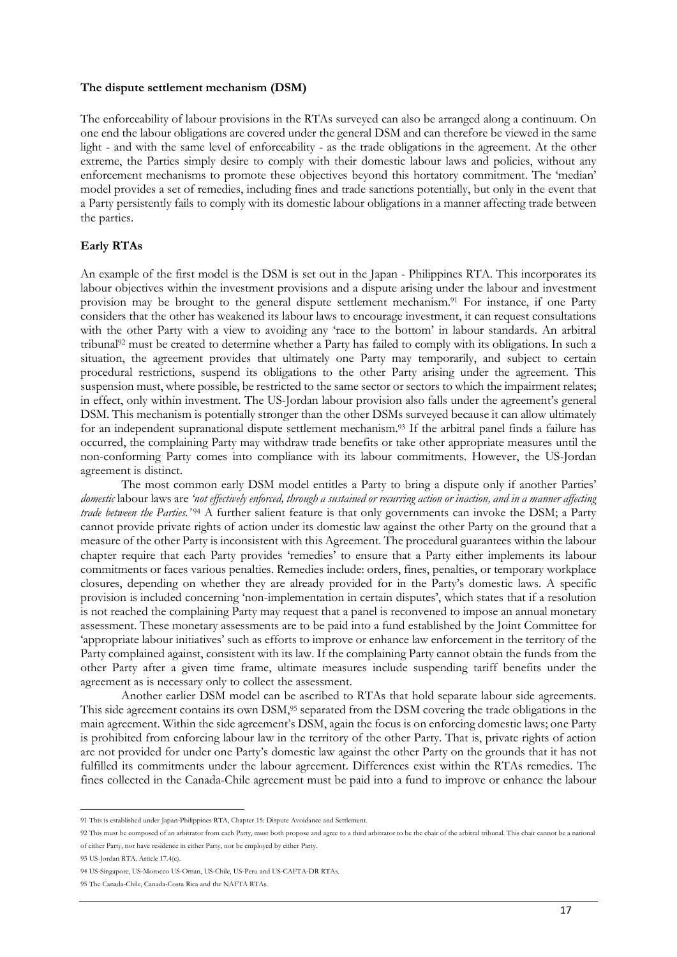#### **The dispute settlement mechanism (DSM)**

The enforceability of labour provisions in the RTAs surveyed can also be arranged along a continuum. On one end the labour obligations are covered under the general DSM and can therefore be viewed in the same light - and with the same level of enforceability - as the trade obligations in the agreement. At the other extreme, the Parties simply desire to comply with their domestic labour laws and policies, without any enforcement mechanisms to promote these objectives beyond this hortatory commitment. The 'median' model provides a set of remedies, including fines and trade sanctions potentially, but only in the event that a Party persistently fails to comply with its domestic labour obligations in a manner affecting trade between the parties.

## **Early RTAs**

An example of the first model is the DSM is set out in the Japan - Philippines RTA. This incorporates its labour objectives within the investment provisions and a dispute arising under the labour and investment provision may be brought to the general dispute settlement mechanism.91 For instance, if one Party considers that the other has weakened its labour laws to encourage investment, it can request consultations with the other Party with a view to avoiding any 'race to the bottom' in labour standards. An arbitral tribunal92 must be created to determine whether a Party has failed to comply with its obligations. In such a situation, the agreement provides that ultimately one Party may temporarily, and subject to certain procedural restrictions, suspend its obligations to the other Party arising under the agreement. This suspension must, where possible, be restricted to the same sector or sectors to which the impairment relates; in effect, only within investment. The US-Jordan labour provision also falls under the agreement's general DSM. This mechanism is potentially stronger than the other DSMs surveyed because it can allow ultimately for an independent supranational dispute settlement mechanism.93 If the arbitral panel finds a failure has occurred, the complaining Party may withdraw trade benefits or take other appropriate measures until the non-conforming Party comes into compliance with its labour commitments. However, the US-Jordan agreement is distinct.

The most common early DSM model entitles a Party to bring a dispute only if another Parties' *domestic* labour laws are *'not effectively enforced, through a sustained or recurring action or inaction, and in a manner affecting trade between the Parties.*<sup>'94</sup> A further salient feature is that only governments can invoke the DSM; a Party cannot provide private rights of action under its domestic law against the other Party on the ground that a measure of the other Party is inconsistent with this Agreement. The procedural guarantees within the labour chapter require that each Party provides 'remedies' to ensure that a Party either implements its labour commitments or faces various penalties. Remedies include: orders, fines, penalties, or temporary workplace closures, depending on whether they are already provided for in the Party's domestic laws. A specific provision is included concerning 'non-implementation in certain disputes', which states that if a resolution is not reached the complaining Party may request that a panel is reconvened to impose an annual monetary assessment. These monetary assessments are to be paid into a fund established by the Joint Committee for 'appropriate labour initiatives' such as efforts to improve or enhance law enforcement in the territory of the Party complained against, consistent with its law. If the complaining Party cannot obtain the funds from the other Party after a given time frame, ultimate measures include suspending tariff benefits under the agreement as is necessary only to collect the assessment.

Another earlier DSM model can be ascribed to RTAs that hold separate labour side agreements. This side agreement contains its own DSM,<sup>95</sup> separated from the DSM covering the trade obligations in the main agreement. Within the side agreement's DSM, again the focus is on enforcing domestic laws; one Party is prohibited from enforcing labour law in the territory of the other Party. That is, private rights of action are not provided for under one Party's domestic law against the other Party on the grounds that it has not fulfilled its commitments under the labour agreement. Differences exist within the RTAs remedies. The fines collected in the Canada-Chile agreement must be paid into a fund to improve or enhance the labour

 $\overline{a}$ 91 This is established under Japan-Philippines RTA, Chapter 15: Dispute Avoidance and Settlement.

<sup>92</sup> This must be composed of an arbitrator from each Party, must both propose and agree to a third arbitrator to be the chair of the arbitral tribunal. This chair cannot be a national of either Party, nor have residence in either Party, nor be employed by either Party.

<sup>93</sup> US-Jordan RTA. Article 17.4(c).

<sup>94</sup> US-Singapore, US-Morocco US-Oman, US-Chile, US-Peru and US-CAFTA-DR RTAs.

<sup>95</sup> The Canada-Chile, Canada-Costa Rica and the NAFTA RTAs.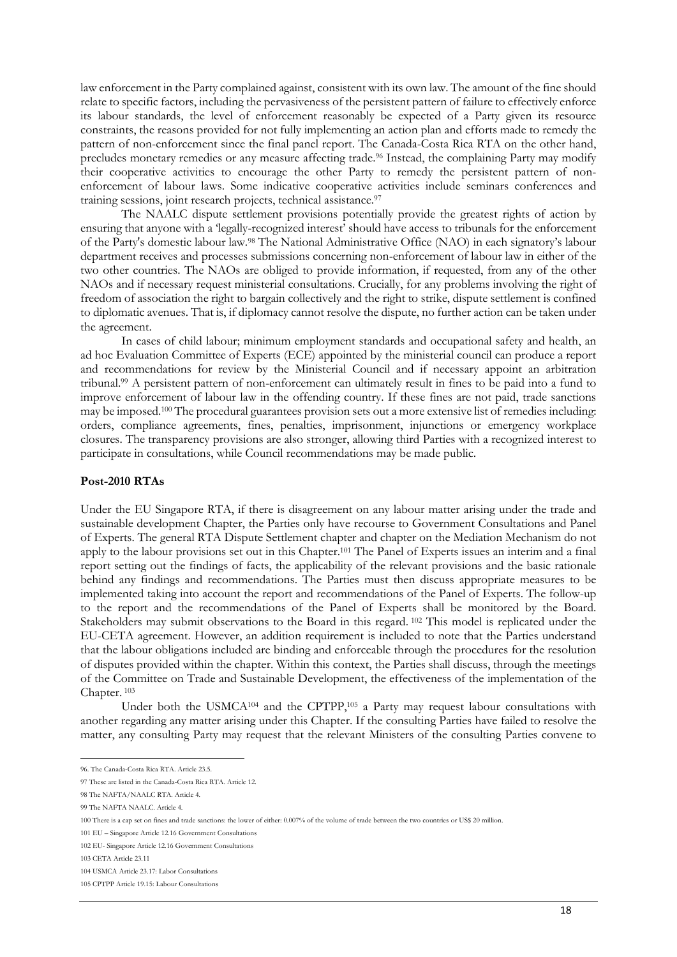law enforcement in the Party complained against, consistent with its own law. The amount of the fine should relate to specific factors, including the pervasiveness of the persistent pattern of failure to effectively enforce its labour standards, the level of enforcement reasonably be expected of a Party given its resource constraints, the reasons provided for not fully implementing an action plan and efforts made to remedy the pattern of non-enforcement since the final panel report. The Canada-Costa Rica RTA on the other hand, precludes monetary remedies or any measure affecting trade.<sup>96</sup> Instead, the complaining Party may modify their cooperative activities to encourage the other Party to remedy the persistent pattern of nonenforcement of labour laws. Some indicative cooperative activities include seminars conferences and training sessions, joint research projects, technical assistance.97

The NAALC dispute settlement provisions potentially provide the greatest rights of action by ensuring that anyone with a 'legally-recognized interest' should have access to tribunals for the enforcement of the Party's domestic labour law.98 The National Administrative Office (NAO) in each signatory's labour department receives and processes submissions concerning non-enforcement of labour law in either of the two other countries. The NAOs are obliged to provide information, if requested, from any of the other NAOs and if necessary request ministerial consultations. Crucially, for any problems involving the right of freedom of association the right to bargain collectively and the right to strike, dispute settlement is confined to diplomatic avenues. That is, if diplomacy cannot resolve the dispute, no further action can be taken under the agreement.

In cases of child labour; minimum employment standards and occupational safety and health, an ad hoc Evaluation Committee of Experts (ECE) appointed by the ministerial council can produce a report and recommendations for review by the Ministerial Council and if necessary appoint an arbitration tribunal.99 A persistent pattern of non-enforcement can ultimately result in fines to be paid into a fund to improve enforcement of labour law in the offending country. If these fines are not paid, trade sanctions may be imposed.100 The procedural guarantees provision sets out a more extensive list of remedies including: orders, compliance agreements, fines, penalties, imprisonment, injunctions or emergency workplace closures. The transparency provisions are also stronger, allowing third Parties with a recognized interest to participate in consultations, while Council recommendations may be made public.

#### **Post-2010 RTAs**

Under the EU Singapore RTA, if there is disagreement on any labour matter arising under the trade and sustainable development Chapter, the Parties only have recourse to Government Consultations and Panel of Experts. The general RTA Dispute Settlement chapter and chapter on the Mediation Mechanism do not apply to the labour provisions set out in this Chapter.101 The Panel of Experts issues an interim and a final report setting out the findings of facts, the applicability of the relevant provisions and the basic rationale behind any findings and recommendations. The Parties must then discuss appropriate measures to be implemented taking into account the report and recommendations of the Panel of Experts. The follow-up to the report and the recommendations of the Panel of Experts shall be monitored by the Board. Stakeholders may submit observations to the Board in this regard. <sup>102</sup> This model is replicated under the EU-CETA agreement. However, an addition requirement is included to note that the Parties understand that the labour obligations included are binding and enforceable through the procedures for the resolution of disputes provided within the chapter. Within this context, the Parties shall discuss, through the meetings of the Committee on Trade and Sustainable Development, the effectiveness of the implementation of the Chapter. <sup>103</sup>

Under both the USMCA<sup>104</sup> and the CPTPP,<sup>105</sup> a Party may request labour consultations with another regarding any matter arising under this Chapter. If the consulting Parties have failed to resolve the matter, any consulting Party may request that the relevant Ministers of the consulting Parties convene to

96. The Canada-Costa Rica RTA. Article 23.5.

<sup>97</sup> These are listed in the Canada-Costa Rica RTA. Article 12.

<sup>98</sup> The NAFTA/NAALC RTA. Article 4.

<sup>99</sup> The NAFTA NAALC. Article 4.

<sup>100</sup> There is a cap set on fines and trade sanctions: the lower of either: 0.007% of the volume of trade between the two countries or US\$ 20 million.

<sup>101</sup> EU – Singapore Article 12.16 Government Consultations

<sup>102</sup> EU- Singapore Article 12.16 Government Consultations

<sup>103</sup> CETA Article 23.11

<sup>104</sup> USMCA Article 23.17: Labor Consultations

<sup>105</sup> CPTPP Article 19.15: Labour Consultations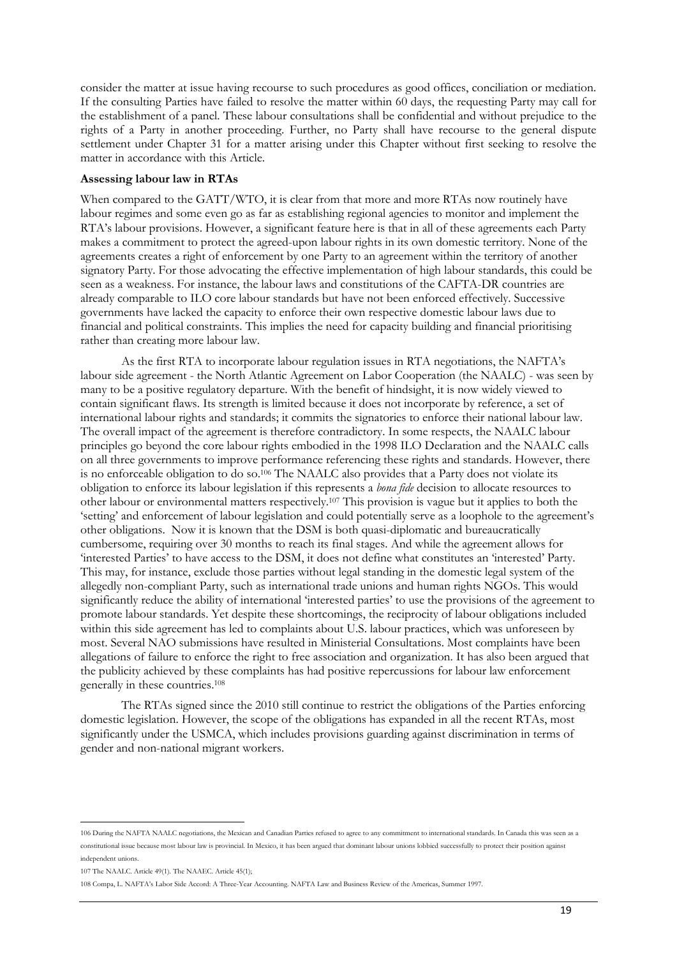consider the matter at issue having recourse to such procedures as good offices, conciliation or mediation. If the consulting Parties have failed to resolve the matter within 60 days, the requesting Party may call for the establishment of a panel. These labour consultations shall be confidential and without prejudice to the rights of a Party in another proceeding. Further, no Party shall have recourse to the general dispute settlement under Chapter 31 for a matter arising under this Chapter without first seeking to resolve the matter in accordance with this Article.

## **Assessing labour law in RTAs**

When compared to the GATT/WTO, it is clear from that more and more RTAs now routinely have labour regimes and some even go as far as establishing regional agencies to monitor and implement the RTA's labour provisions. However, a significant feature here is that in all of these agreements each Party makes a commitment to protect the agreed-upon labour rights in its own domestic territory. None of the agreements creates a right of enforcement by one Party to an agreement within the territory of another signatory Party. For those advocating the effective implementation of high labour standards, this could be seen as a weakness. For instance, the labour laws and constitutions of the CAFTA-DR countries are already comparable to ILO core labour standards but have not been enforced effectively. Successive governments have lacked the capacity to enforce their own respective domestic labour laws due to financial and political constraints. This implies the need for capacity building and financial prioritising rather than creating more labour law.

As the first RTA to incorporate labour regulation issues in RTA negotiations, the NAFTA's labour side agreement - the North Atlantic Agreement on Labor Cooperation (the NAALC) - was seen by many to be a positive regulatory departure. With the benefit of hindsight, it is now widely viewed to contain significant flaws. Its strength is limited because it does not incorporate by reference, a set of international labour rights and standards; it commits the signatories to enforce their national labour law. The overall impact of the agreement is therefore contradictory. In some respects, the NAALC labour principles go beyond the core labour rights embodied in the 1998 ILO Declaration and the NAALC calls on all three governments to improve performance referencing these rights and standards. However, there is no enforceable obligation to do so.<sup>106</sup> The NAALC also provides that a Party does not violate its obligation to enforce its labour legislation if this represents a *bona fide* decision to allocate resources to other labour or environmental matters respectively.107 This provision is vague but it applies to both the 'setting' and enforcement of labour legislation and could potentially serve as a loophole to the agreement's other obligations. Now it is known that the DSM is both quasi-diplomatic and bureaucratically cumbersome, requiring over 30 months to reach its final stages. And while the agreement allows for 'interested Parties' to have access to the DSM, it does not define what constitutes an 'interested' Party. This may, for instance, exclude those parties without legal standing in the domestic legal system of the allegedly non-compliant Party, such as international trade unions and human rights NGOs. This would significantly reduce the ability of international 'interested parties' to use the provisions of the agreement to promote labour standards. Yet despite these shortcomings, the reciprocity of labour obligations included within this side agreement has led to complaints about U.S. labour practices, which was unforeseen by most. Several NAO submissions have resulted in Ministerial Consultations. Most complaints have been allegations of failure to enforce the right to free association and organization. It has also been argued that the publicity achieved by these complaints has had positive repercussions for labour law enforcement generally in these countries.108

The RTAs signed since the 2010 still continue to restrict the obligations of the Parties enforcing domestic legislation. However, the scope of the obligations has expanded in all the recent RTAs, most significantly under the USMCA, which includes provisions guarding against discrimination in terms of gender and non-national migrant workers.

<sup>106</sup> During the NAFTA NAALC negotiations, the Mexican and Canadian Parties refused to agree to any commitment to international standards. In Canada this was seen as a constitutional issue because most labour law is provincial. In Mexico, it has been argued that dominant labour unions lobbied successfully to protect their position against independent unions.

<sup>107</sup> The NAALC. Article 49(1). The NAAEC. Article 45(1);

<sup>108</sup> Compa, L. NAFTA's Labor Side Accord: A Three-Year Accounting. NAFTA Law and Business Review of the Americas, Summer 1997.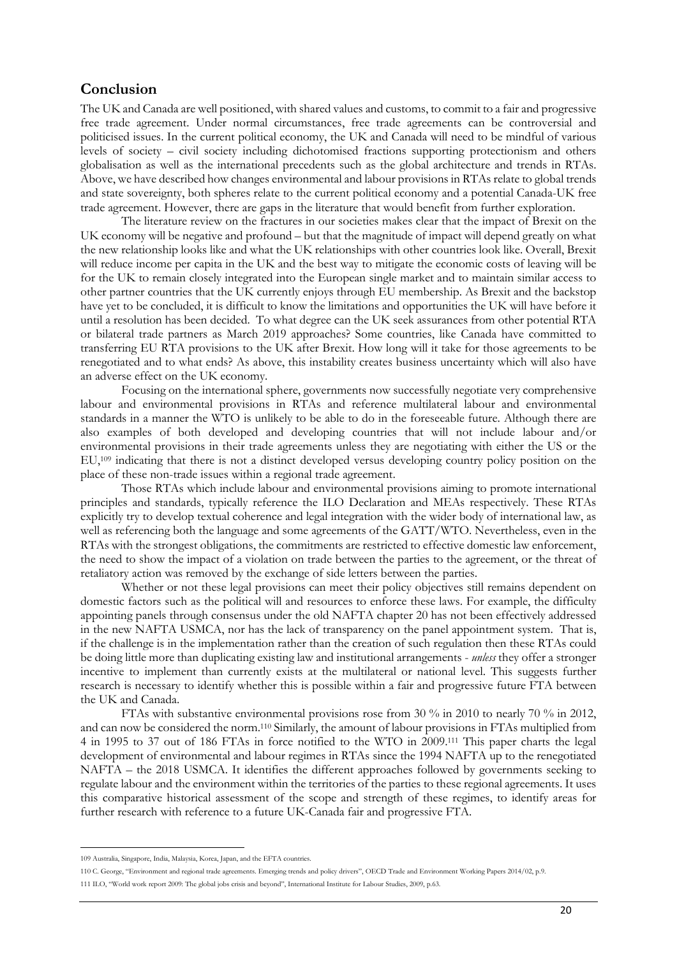# **Conclusion**

The UK and Canada are well positioned, with shared values and customs, to commit to a fair and progressive free trade agreement. Under normal circumstances, free trade agreements can be controversial and politicised issues. In the current political economy, the UK and Canada will need to be mindful of various levels of society – civil society including dichotomised fractions supporting protectionism and others globalisation as well as the international precedents such as the global architecture and trends in RTAs. Above, we have described how changes environmental and labour provisions in RTAs relate to global trends and state sovereignty, both spheres relate to the current political economy and a potential Canada-UK free trade agreement. However, there are gaps in the literature that would benefit from further exploration.

The literature review on the fractures in our societies makes clear that the impact of Brexit on the UK economy will be negative and profound – but that the magnitude of impact will depend greatly on what the new relationship looks like and what the UK relationships with other countries look like. Overall, Brexit will reduce income per capita in the UK and the best way to mitigate the economic costs of leaving will be for the UK to remain closely integrated into the European single market and to maintain similar access to other partner countries that the UK currently enjoys through EU membership. As Brexit and the backstop have yet to be concluded, it is difficult to know the limitations and opportunities the UK will have before it until a resolution has been decided. To what degree can the UK seek assurances from other potential RTA or bilateral trade partners as March 2019 approaches? Some countries, like Canada have committed to transferring EU RTA provisions to the UK after Brexit. How long will it take for those agreements to be renegotiated and to what ends? As above, this instability creates business uncertainty which will also have an adverse effect on the UK economy.

Focusing on the international sphere, governments now successfully negotiate very comprehensive labour and environmental provisions in RTAs and reference multilateral labour and environmental standards in a manner the WTO is unlikely to be able to do in the foreseeable future. Although there are also examples of both developed and developing countries that will not include labour and/or environmental provisions in their trade agreements unless they are negotiating with either the US or the EU,109 indicating that there is not a distinct developed versus developing country policy position on the place of these non-trade issues within a regional trade agreement.

Those RTAs which include labour and environmental provisions aiming to promote international principles and standards, typically reference the ILO Declaration and MEAs respectively. These RTAs explicitly try to develop textual coherence and legal integration with the wider body of international law, as well as referencing both the language and some agreements of the GATT/WTO. Nevertheless, even in the RTAs with the strongest obligations, the commitments are restricted to effective domestic law enforcement, the need to show the impact of a violation on trade between the parties to the agreement, or the threat of retaliatory action was removed by the exchange of side letters between the parties.

Whether or not these legal provisions can meet their policy objectives still remains dependent on domestic factors such as the political will and resources to enforce these laws. For example, the difficulty appointing panels through consensus under the old NAFTA chapter 20 has not been effectively addressed in the new NAFTA USMCA, nor has the lack of transparency on the panel appointment system. That is, if the challenge is in the implementation rather than the creation of such regulation then these RTAs could be doing little more than duplicating existing law and institutional arrangements - *unless* they offer a stronger incentive to implement than currently exists at the multilateral or national level. This suggests further research is necessary to identify whether this is possible within a fair and progressive future FTA between the UK and Canada.

FTAs with substantive environmental provisions rose from 30 % in 2010 to nearly 70 % in 2012, and can now be considered the norm.110 Similarly, the amount of labour provisions in FTAs multiplied from 4 in 1995 to 37 out of 186 FTAs in force notified to the WTO in 2009.111 This paper charts the legal development of environmental and labour regimes in RTAs since the 1994 NAFTA up to the renegotiated NAFTA – the 2018 USMCA. It identifies the different approaches followed by governments seeking to regulate labour and the environment within the territories of the parties to these regional agreements. It uses this comparative historical assessment of the scope and strength of these regimes, to identify areas for further research with reference to a future UK-Canada fair and progressive FTA.

 $\overline{a}$ 109 Australia, Singapore, India, Malaysia, Korea, Japan, and the EFTA countries.

<sup>110</sup> C. George, "Environment and regional trade agreements. Emerging trends and policy drivers", OECD Trade and Environment Working Papers 2014/02, p.9. 111 ILO, "World work report 2009: The global jobs crisis and beyond", International Institute for Labour Studies, 2009, p.63.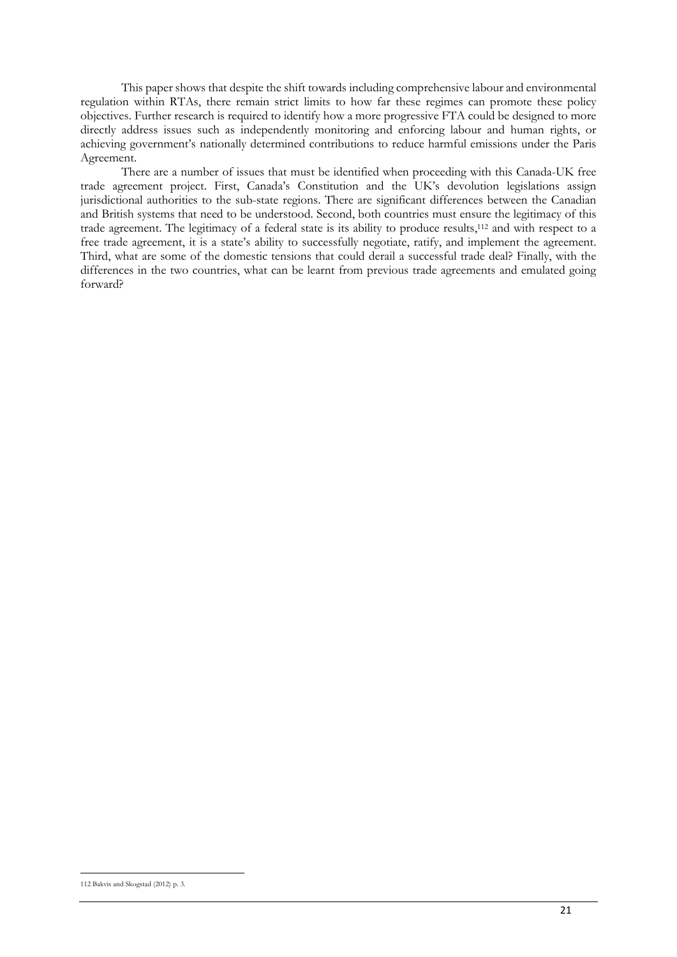This paper shows that despite the shift towards including comprehensive labour and environmental regulation within RTAs, there remain strict limits to how far these regimes can promote these policy objectives. Further research is required to identify how a more progressive FTA could be designed to more directly address issues such as independently monitoring and enforcing labour and human rights, or achieving government's nationally determined contributions to reduce harmful emissions under the Paris Agreement.

There are a number of issues that must be identified when proceeding with this Canada-UK free trade agreement project. First, Canada's Constitution and the UK's devolution legislations assign jurisdictional authorities to the sub-state regions. There are significant differences between the Canadian and British systems that need to be understood. Second, both countries must ensure the legitimacy of this trade agreement. The legitimacy of a federal state is its ability to produce results,112 and with respect to a free trade agreement, it is a state's ability to successfully negotiate, ratify, and implement the agreement. Third, what are some of the domestic tensions that could derail a successful trade deal? Finally, with the differences in the two countries, what can be learnt from previous trade agreements and emulated going forward?

 $\overline{a}$ 112 Bakvis and Skogstad (2012) p. 3.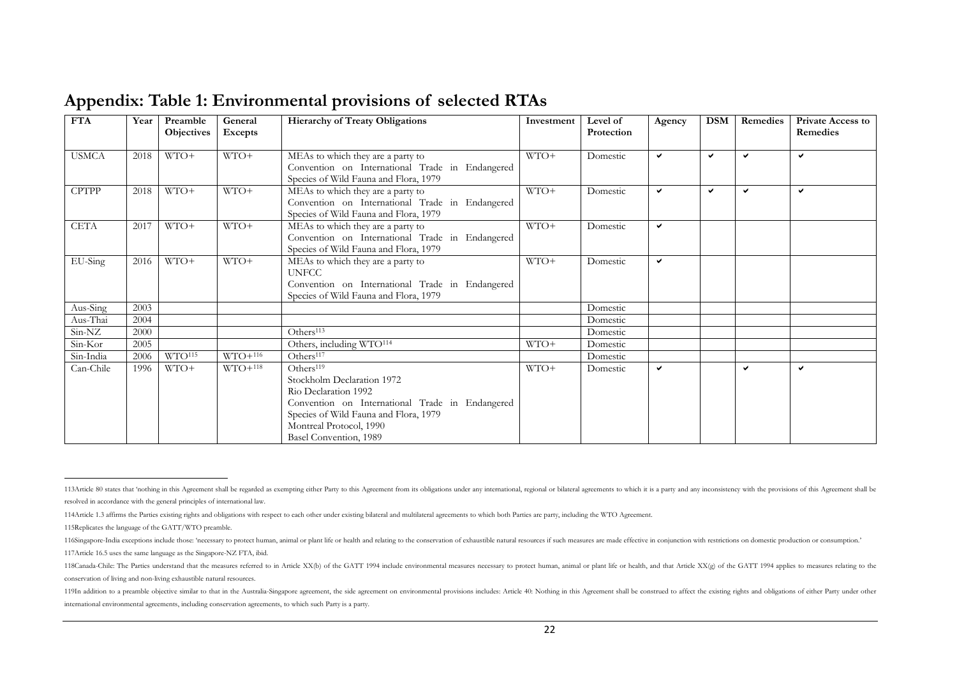| <b>FTA</b>   | Year | Preamble<br><b>Objectives</b> | General<br>Excepts | <b>Hierarchy of Treaty Obligations</b>                                                                                                                                                                                       | Investment | Level of<br>Protection | Agency       | <b>DSM</b> | Remedies     | <b>Private Access to</b><br>Remedies |
|--------------|------|-------------------------------|--------------------|------------------------------------------------------------------------------------------------------------------------------------------------------------------------------------------------------------------------------|------------|------------------------|--------------|------------|--------------|--------------------------------------|
| <b>USMCA</b> | 2018 | WTO+                          | WTO+               | MEAs to which they are a party to<br>Convention on International Trade in Endangered<br>Species of Wild Fauna and Flora, 1979                                                                                                | WTO+       | Domestic               | ✓            | ✓          | ◡            | ✓                                    |
| <b>CPTPP</b> | 2018 | WTO+                          | $WTO+$             | MEAs to which they are a party to<br>Convention on International Trade in Endangered<br>Species of Wild Fauna and Flora, 1979                                                                                                | $WTO+$     | Domestic               | $\checkmark$ | v          | $\checkmark$ | ✓                                    |
| <b>CETA</b>  | 2017 | WTO+                          | $WTO+$             | MEAs to which they are a party to<br>Convention on International Trade in Endangered<br>Species of Wild Fauna and Flora, 1979                                                                                                | WTO+       | Domestic               | ✓            |            |              |                                      |
| EU-Sing      | 2016 | $WTO+$                        | $WTO+$             | MEAs to which they are a party to<br><b>UNFCC</b><br>Convention on International Trade in Endangered<br>Species of Wild Fauna and Flora, 1979                                                                                | WTO+       | Domestic               | ✓            |            |              |                                      |
| Aus-Sing     | 2003 |                               |                    |                                                                                                                                                                                                                              |            | Domestic               |              |            |              |                                      |
| Aus-Thai     | 2004 |                               |                    |                                                                                                                                                                                                                              |            | Domestic               |              |            |              |                                      |
| Sin-NZ       | 2000 |                               |                    | Others <sup>113</sup>                                                                                                                                                                                                        |            | Domestic               |              |            |              |                                      |
| Sin-Kor      | 2005 |                               |                    | Others, including WTO <sup>114</sup>                                                                                                                                                                                         | $WTO+$     | Domestic               |              |            |              |                                      |
| Sin-India    | 2006 | WTO <sup>115</sup>            | $WTO+116$          | Others <sup>117</sup>                                                                                                                                                                                                        |            | Domestic               |              |            |              |                                      |
| Can-Chile    | 1996 | $WTO+$                        | $WTO+118$          | Others <sup>119</sup><br>Stockholm Declaration 1972<br>Rio Declaration 1992<br>Convention on International Trade in Endangered<br>Species of Wild Fauna and Flora, 1979<br>Montreal Protocol, 1990<br>Basel Convention, 1989 | WTO+       | Domestic               | ✓            |            | ✓            | ✓                                    |

# **Appendix: Table 1: Environmental provisions of selected RTAs**

 $\overline{a}$ 113Article 80 states that 'nothing in this Agreement shall be regarded as exempting either Party to this Agreement from its obligations under any international, regional or bilateral agreements to which it is a party and a resolved in accordance with the general principles of international law.

<sup>114</sup>Article 1.3 affirms the Parties existing rights and obligations with respect to each other under existing bilateral and multilateral agreements to which both Parties are party, including the WTO Agreement.

<sup>115</sup>Replicates the language of the GATT/WTO preamble.

<sup>116</sup>Singapore-India exceptions include those: 'necessary to protect human, animal or plant life or health and relating to the conservation of exhaustible natural resources if such measures are made effective in conjunction 117Article 16.5 uses the same language as the Singapore-NZ FTA, ibid.

<sup>118</sup>Canada-Chile: The Parties understand that the measures referred to in Article XX(b) of the GATT 1994 include environmental measures necessary to protect human, animal or plant life or health, and that Article XX(g) of t conservation of living and non-living exhaustible natural resources.

<sup>119</sup>In addition to a preamble objective similar to that in the Australia-Singapore agreement, the side agreement on environmental provisions includes: Article 40: Nothing in this Agreement shall be construed to affect the e international environmental agreements, including conservation agreements, to which such Party is a party.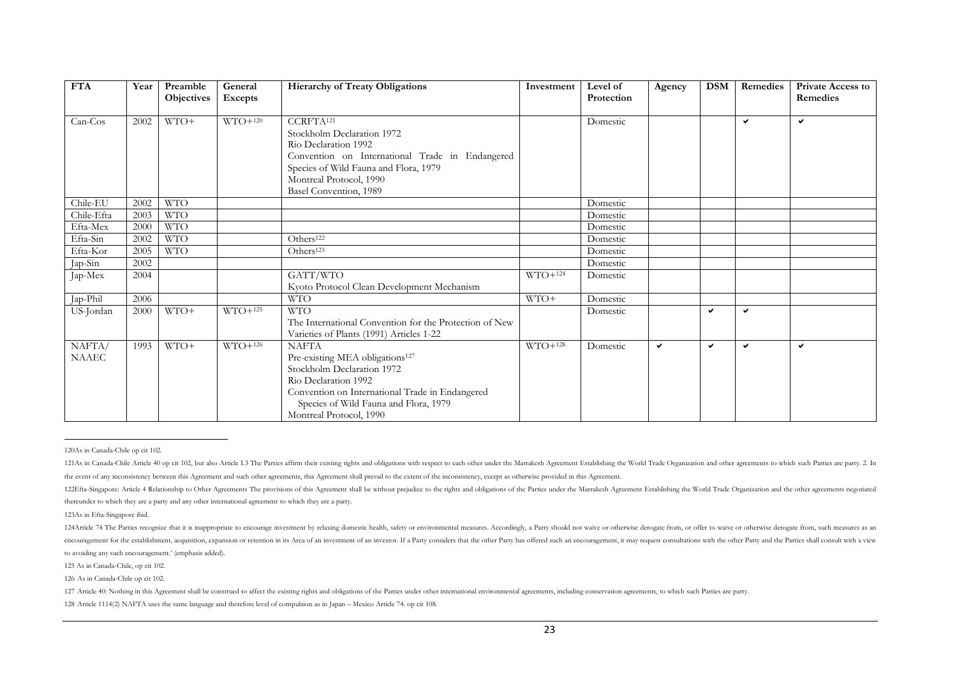| <b>FTA</b>   | Year<br>Preamble<br>General<br><b>Hierarchy of Treaty Obligations</b><br>Excepts<br>Objectives |            |           | Investment                                             | Level of<br>Protection | Agency   | <b>DSM</b> | Remedies     | <b>Private Access to</b><br>Remedies |              |
|--------------|------------------------------------------------------------------------------------------------|------------|-----------|--------------------------------------------------------|------------------------|----------|------------|--------------|--------------------------------------|--------------|
|              |                                                                                                |            |           |                                                        |                        |          |            |              |                                      |              |
| $Can-Cos$    | 2002                                                                                           | WTO+       | $WTO+120$ | CCRFTA <sup>121</sup>                                  |                        | Domestic |            |              | $\checkmark$                         | $\checkmark$ |
|              |                                                                                                |            |           | Stockholm Declaration 1972                             |                        |          |            |              |                                      |              |
|              |                                                                                                |            |           | Rio Declaration 1992                                   |                        |          |            |              |                                      |              |
|              |                                                                                                |            |           | Convention on International Trade in Endangered        |                        |          |            |              |                                      |              |
|              |                                                                                                |            |           | Species of Wild Fauna and Flora, 1979                  |                        |          |            |              |                                      |              |
|              |                                                                                                |            |           | Montreal Protocol, 1990                                |                        |          |            |              |                                      |              |
|              |                                                                                                |            |           | Basel Convention, 1989                                 |                        |          |            |              |                                      |              |
| Chile-EU     | 2002                                                                                           | <b>WTO</b> |           |                                                        |                        | Domestic |            |              |                                      |              |
| Chile-Efta   | 2003                                                                                           | <b>WTO</b> |           |                                                        |                        | Domestic |            |              |                                      |              |
| Efta-Mex     | 2000                                                                                           | <b>WTO</b> |           |                                                        |                        | Domestic |            |              |                                      |              |
| Efta-Sin     | 2002                                                                                           | <b>WTO</b> |           | Others <sup>122</sup>                                  |                        | Domestic |            |              |                                      |              |
| Efta-Kor     | 2005                                                                                           | <b>WTO</b> |           | Others <sup>123</sup>                                  |                        | Domestic |            |              |                                      |              |
| Jap-Sin      | 2002                                                                                           |            |           |                                                        |                        | Domestic |            |              |                                      |              |
| Jap-Mex      | 2004                                                                                           |            |           | GATT/WTO                                               | $WTO+124$              | Domestic |            |              |                                      |              |
|              |                                                                                                |            |           | Kyoto Protocol Clean Development Mechanism             |                        |          |            |              |                                      |              |
| Jap-Phil     | 2006                                                                                           |            |           | <b>WTO</b>                                             | WTO+                   | Domestic |            |              |                                      |              |
| US-Jordan    | 2000                                                                                           | WTO+       | $WTO+125$ | <b>WTO</b>                                             |                        | Domestic |            | v            | ✓                                    |              |
|              |                                                                                                |            |           | The International Convention for the Protection of New |                        |          |            |              |                                      |              |
|              |                                                                                                |            |           | Varieties of Plants (1991) Articles 1-22               |                        |          |            |              |                                      |              |
| NAFTA/       | 1993                                                                                           | WTO+       | $WTO+126$ | <b>NAFTA</b>                                           | $WTO+128$              | Domestic | ✓          | $\checkmark$ | $\checkmark$                         | $\checkmark$ |
| <b>NAAEC</b> |                                                                                                |            |           | Pre-existing MEA obligations <sup>127</sup>            |                        |          |            |              |                                      |              |
|              |                                                                                                |            |           | Stockholm Declaration 1972                             |                        |          |            |              |                                      |              |
|              |                                                                                                |            |           | Rio Declaration 1992                                   |                        |          |            |              |                                      |              |
|              |                                                                                                |            |           | Convention on International Trade in Endangered        |                        |          |            |              |                                      |              |
|              |                                                                                                |            |           | Species of Wild Fauna and Flora, 1979                  |                        |          |            |              |                                      |              |
|              |                                                                                                |            |           | Montreal Protocol, 1990                                |                        |          |            |              |                                      |              |

 $\overline{a}$ 120As in Canada-Chile op cit 102.

123As in Efta-Singapore ibid.

125 As in Canada-Chile, op cit 102.

126 As in Canada-Chile op cit 102.

128 Article 1114(2) NAFTA uses the same language and therefore level of compulsion as in Japan – Mexico Article 74. op cit 108.

<sup>121</sup>As in Canada-Chile Article 40 op cit 102, but also Article 1.3 The Parties affirm their existing rights and obligations with respect to each other under the Marrakesh Agreement Establishing the World Trade Organization the event of any inconsistency between this Agreement and such other agreements, this Agreement shall prevail to the extent of the inconsistency, except as otherwise provided in this Agreement.

<sup>122</sup>Efta-Singapore: Article 4 Relationship to Other Agreements The provisions of this Agreement shall be without prejudice to the rights and obligations of the Parties under the Marrakesh Agreement Establishing the World Tr thereunder to which they are a party and any other international agreement to which they are a party.

<sup>124</sup>Article 74 The Parties recognize that it is inappropriate to encourage investment by relaxing domestic health, safety or environmental measures. Accordingly, a Party should not waive or otherwise derogate from, or offer encouragement for the establishment, acquisition, expansion or retention in its Area of an investment of an investment of an investor. If a Party considers that the other Party has offered such an encouragement, it may req to avoiding any such encouragement.' (emphasis added).

<sup>127</sup> Article 40: Nothing in this Agreement shall be construed to affect the existing rights and obligations of the Parties under other international environmental agreements, including conservation agreements, to which such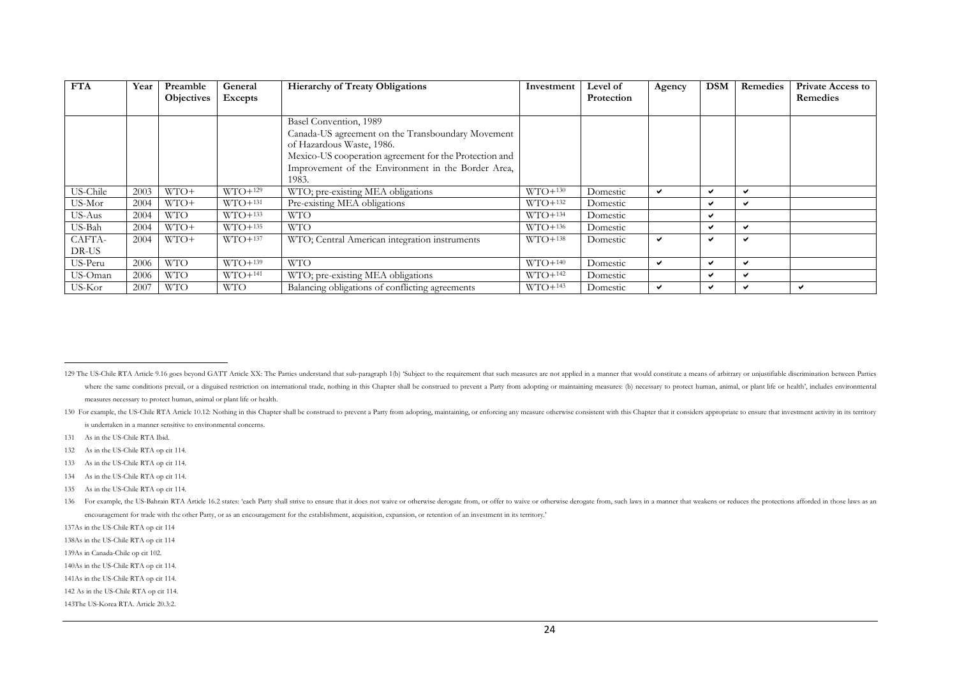| <b>FTA</b>      | Year | Preamble          | General    | <b>Hierarchy of Treaty Obligations</b>                                                                                                                                                                                            | Investment | <b>Level</b> of | Agency | <b>DSM</b>               | Remedies | <b>Private Access to</b> |
|-----------------|------|-------------------|------------|-----------------------------------------------------------------------------------------------------------------------------------------------------------------------------------------------------------------------------------|------------|-----------------|--------|--------------------------|----------|--------------------------|
|                 |      | <b>Objectives</b> | Excepts    |                                                                                                                                                                                                                                   |            | Protection      |        |                          |          | Remedies                 |
|                 |      |                   |            | Basel Convention, 1989<br>Canada-US agreement on the Transboundary Movement<br>of Hazardous Waste, 1986.<br>Mexico-US cooperation agreement for the Protection and<br>Improvement of the Environment in the Border Area,<br>1983. |            |                 |        |                          |          |                          |
| US-Chile        | 2003 | WTO+              | $WTO+129$  | WTO; pre-existing MEA obligations                                                                                                                                                                                                 | $WTO+130$  | Domestic        | ✔      | v                        | ✔        |                          |
| US-Mor          | 2004 | WTO+              | $WTO+131$  | Pre-existing MEA obligations                                                                                                                                                                                                      | $WTO+132$  | Domestic        |        | $\checkmark$             | ✔        |                          |
| US-Aus          | 2004 | <b>WTO</b>        | $WTO+133$  | <b>WTO</b>                                                                                                                                                                                                                        | $WTO+134$  | Domestic        |        | $\checkmark$             |          |                          |
| US-Bah          | 2004 | WTO+              | $WTO+135$  | <b>WTO</b>                                                                                                                                                                                                                        | $WTO+136$  | Domestic        |        | ✔                        | ✔        |                          |
| CAFTA-<br>DR-US | 2004 | WTO+              | $WTO+137$  | WTO; Central American integration instruments                                                                                                                                                                                     | $WTO+138$  | Domestic        | ✓      | $\overline{\phantom{0}}$ | ✔        |                          |
| US-Peru         | 2006 | <b>WTO</b>        | $WTO+139$  | <b>WTO</b>                                                                                                                                                                                                                        | $WTO+140$  | Domestic        | ✔      | ✓                        | ✔        |                          |
| US-Oman         | 2006 | <b>WTO</b>        | $WTO+141$  | WTO; pre-existing MEA obligations                                                                                                                                                                                                 | $WTO+142$  | Domestic        |        | $\checkmark$             | ✔        |                          |
| US-Kor          | 2007 | <b>WTO</b>        | <b>WTO</b> | Balancing obligations of conflicting agreements                                                                                                                                                                                   | $WTO+143$  | Domestic        | ✔      | ✔                        | ✔        | ✔                        |

- 134 As in the US-Chile RTA op cit 114.
- 135 As in the US-Chile RTA op cit 114.

<sup>129</sup> The US-Chile RTA Article 9.16 goes beyond GATT Article XX: The Parties understand that sub-paragraph 1(b) 'Subject to the requirement that such measures are not applied in a manner that would constitute a means of arbi where the same conditions prevail, or a disguised restriction on international trade, nothing in this Chapter shall be construed to prevent a Party from adopting or maintaining measures: (b) necessary to protect human, ani measures necessary to protect human, animal or plant life or health.

<sup>130</sup> For example, the US-Chile RTA Article 10.12: Nothing in this Chapter shall be construed to prevent a Party from adopting, maintaining, or enforcing any measure otherwise consistent with this Chapter that it considers a is undertaken in a manner sensitive to environmental concerns.

<sup>131</sup> As in the US-Chile RTA Ibid.

<sup>132</sup> As in the US-Chile RTA op cit 114.

<sup>133</sup> As in the US-Chile RTA op cit 114.

<sup>136</sup> For example, the US-Bahrain RTA Article 16.2 states: 'each Party shall strive to ensure that it does not waive or otherwise derogate from, or offer to waive or otherwise derogate from, such laws in a manner that weaken encouragement for trade with the other Party, or as an encouragement for the establishment, acquisition, expansion, or retention of an investment in its territory.'

<sup>137</sup>As in the US-Chile RTA op cit 114

<sup>138</sup>As in the US-Chile RTA op cit 114

<sup>139</sup>As in Canada-Chile op cit 102.

<sup>140</sup>As in the US-Chile RTA op cit 114.

<sup>141</sup>As in the US-Chile RTA op cit 114.

<sup>142</sup> As in the US-Chile RTA op cit 114.

<sup>143</sup>The US-Korea RTA. Article 20.3:2.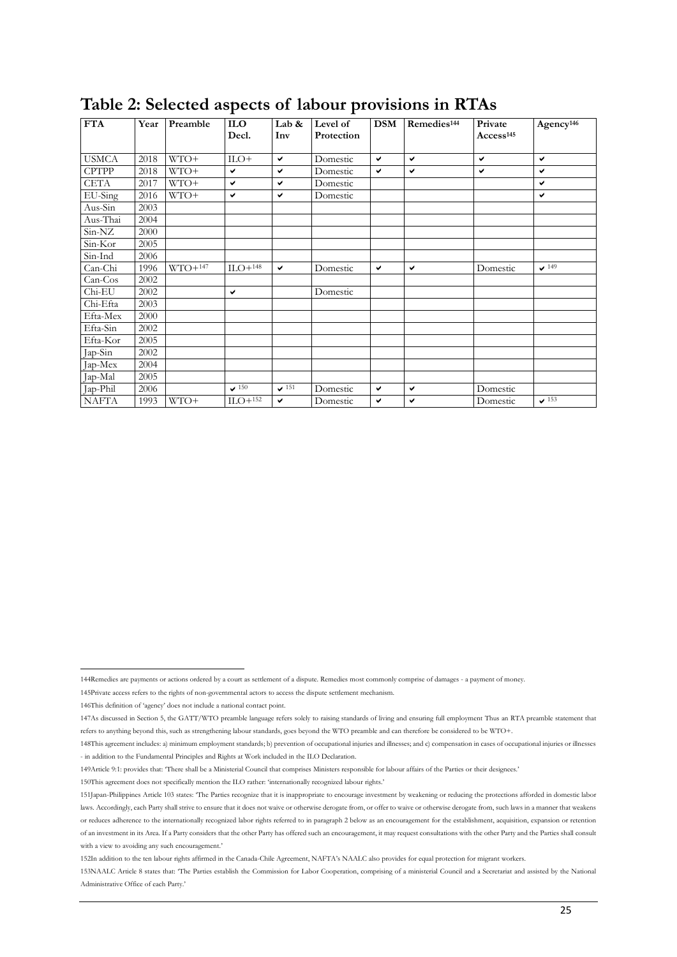|              |      |           | л.                  |              |                        |            |                         |                                  |                       |
|--------------|------|-----------|---------------------|--------------|------------------------|------------|-------------------------|----------------------------------|-----------------------|
| <b>FTA</b>   | Year | Preamble  | <b>ILO</b><br>Decl. | Lab &<br>Inv | Level of<br>Protection | <b>DSM</b> | Remedies <sup>144</sup> | Private<br>Access <sup>145</sup> | Agency <sup>146</sup> |
| <b>USMCA</b> | 2018 | WTO+      | $_{\text{ILO+}}$    | $\checkmark$ | Domestic               | v          | $\checkmark$            | v                                | v                     |
| <b>CPTPP</b> | 2018 | WTO+      | ✔                   | $\checkmark$ | Domestic               | ✔          | ✔                       | v                                | ✔                     |
| <b>CETA</b>  | 2017 | WTO+      | ✓                   | $\checkmark$ | Domestic               |            |                         |                                  | V                     |
| EU-Sing      | 2016 | WTO+      | ✓                   | v            | Domestic               |            |                         |                                  | ✔                     |
| Aus-Sin      | 2003 |           |                     |              |                        |            |                         |                                  |                       |
| Aus-Thai     | 2004 |           |                     |              |                        |            |                         |                                  |                       |
| Sin-NZ       | 2000 |           |                     |              |                        |            |                         |                                  |                       |
| Sin-Kor      | 2005 |           |                     |              |                        |            |                         |                                  |                       |
| Sin-Ind      | 2006 |           |                     |              |                        |            |                         |                                  |                       |
| Can-Chi      | 1996 | $WTO+147$ | $ILO+148$           | $\checkmark$ | Domestic               | v          | ✔                       | Domestic                         | 149                   |
| $Can-Cos$    | 2002 |           |                     |              |                        |            |                         |                                  |                       |
| Chi-EU       | 2002 |           | ✔                   |              | Domestic               |            |                         |                                  |                       |
| Chi-Efta     | 2003 |           |                     |              |                        |            |                         |                                  |                       |
| Efta-Mex     | 2000 |           |                     |              |                        |            |                         |                                  |                       |
| Efta-Sin     | 2002 |           |                     |              |                        |            |                         |                                  |                       |
| Efta-Kor     | 2005 |           |                     |              |                        |            |                         |                                  |                       |
| Jap-Sin      | 2002 |           |                     |              |                        |            |                         |                                  |                       |
| Jap-Mex      | 2004 |           |                     |              |                        |            |                         |                                  |                       |
| Jap-Mal      | 2005 |           |                     |              |                        |            |                         |                                  |                       |
| Jap-Phil     | 2006 |           | $\sqrt{150}$        | $\sqrt{151}$ | Domestic               | ✔          | $\checkmark$            | Domestic                         |                       |
| <b>NAFTA</b> | 1993 | WTO+      | $ILO+152$           | ✓            | Domestic               | ✓          | ✔                       | Domestic                         | $\sqrt{153}$          |

# **Table 2: Selected aspects of labour provisions in RTAs**

150This agreement does not specifically mention the ILO rather: 'internationally recognized labour rights.'

144Remedies are payments or actions ordered by a court as settlement of a dispute. Remedies most commonly comprise of damages - a payment of money.

<sup>145</sup>Private access refers to the rights of non-governmental actors to access the dispute settlement mechanism.

<sup>146</sup>This definition of 'agency' does not include a national contact point.

<sup>147</sup>As discussed in Section 5, the GATT/WTO preamble language refers solely to raising standards of living and ensuring full employment Thus an RTA preamble statement that refers to anything beyond this, such as strengthening labour standards, goes beyond the WTO preamble and can therefore be considered to be WTO+.

<sup>148</sup>This agreement includes: a) minimum employment standards; b) prevention of occupational injuries and illnesses; and c) compensation in cases of occupational injuries or illnesses - in addition to the Fundamental Principles and Rights at Work included in the ILO Declaration.

<sup>149</sup>Article 9:1: provides that: 'There shall be a Ministerial Council that comprises Ministers responsible for labour affairs of the Parties or their designees.'

<sup>151</sup>Japan-Philippines Article 103 states: 'The Parties recognize that it is inappropriate to encourage investment by weakening or reducing the protections afforded in domestic labor laws. Accordingly, each Party shall strive to ensure that it does not waive or otherwise derogate from, or offer to waive or otherwise derogate from, such laws in a manner that weakens or reduces adherence to the internationally recognized labor rights referred to in paragraph 2 below as an encouragement for the establishment, acquisition, expansion or retention of an investment in its Area. If a Party considers that the other Party has offered such an encouragement, it may request consultations with the other Party and the Parties shall consult with a view to avoiding any such encouragement.'

<sup>152</sup>In addition to the ten labour rights affirmed in the Canada-Chile Agreement, NAFTA's NAALC also provides for equal protection for migrant workers.

<sup>153</sup>NAALC Article 8 states that: 'The Parties establish the Commission for Labor Cooperation, comprising of a ministerial Council and a Secretariat and assisted by the National Administrative Office of each Party.'